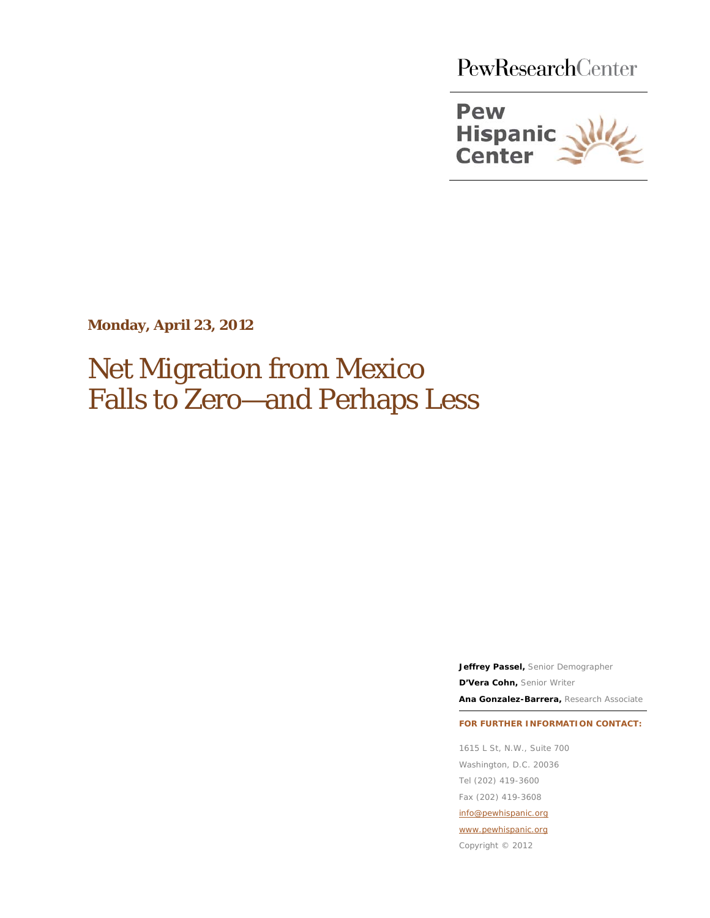PewResearchCenter



**Monday, April 23, 2012**

# Net Migration from Mexico Falls to Zero—and Perhaps Less

**Jeffrey Passel,** Senior Demographer **D'Vera Cohn,** Senior Writer

**Ana Gonzalez-Barrera,** Research Associate

#### **FOR FURTHER INFORMATION CONTACT:**

1615 L St, N.W., Suite 700 Washington, D.C. 20036 Tel (202) 419-3600 Fax (202) 419-3608 info@pewhispanic.org

[www.pewhispanic.org](http://www.pewhispanic.org/)

Copyright © 2012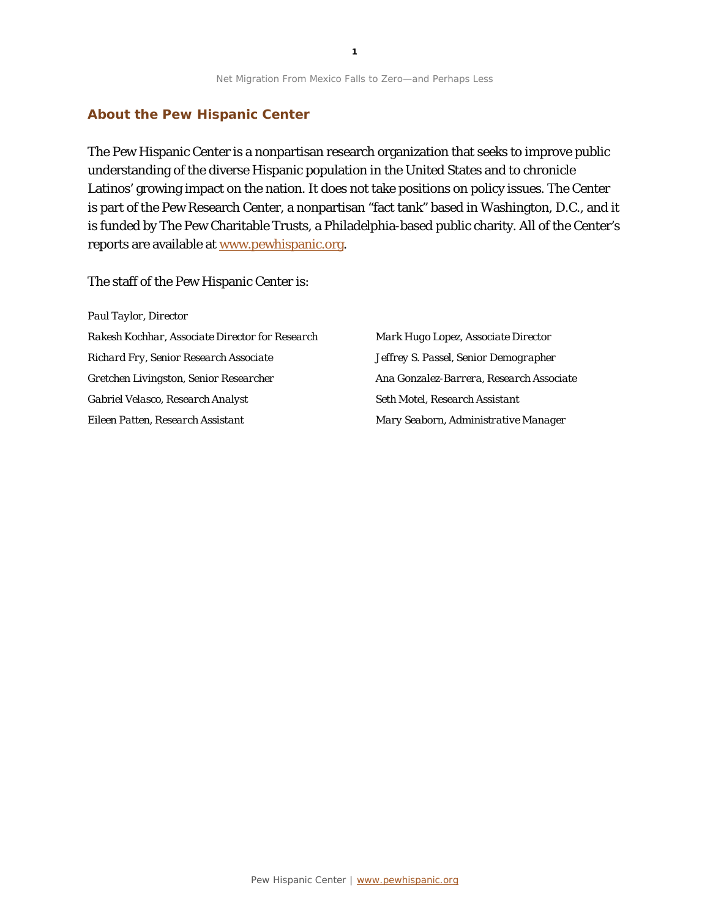#### **About the Pew Hispanic Center**

The Pew Hispanic Center is a nonpartisan research organization that seeks to improve public understanding of the diverse Hispanic population in the United States and to chronicle Latinos' growing impact on the nation. It does not take positions on policy issues. The Center is part of the Pew Research Center, a nonpartisan "fact tank" based in Washington, D.C., and it is funded by The Pew Charitable Trusts, a Philadelphia-based public charity. All of the Center's reports are available at www.pewhispanic.org.

The staff of the Pew Hispanic Center is:

*Paul Taylor, Director Rakesh Kochhar, Associate Director for Research Richard Fry, Senior Research Associate Gretchen Livingston, Senior Researcher Gabriel Velasco, Research Analyst Eileen Patten, Research Assistant*

*Mark Hugo Lopez, Associate Director Jeffrey S. Passel, Senior Demographer Ana Gonzalez-Barrera, Research Associate Seth Motel, Research Assistant Mary Seaborn, Administrative Manager*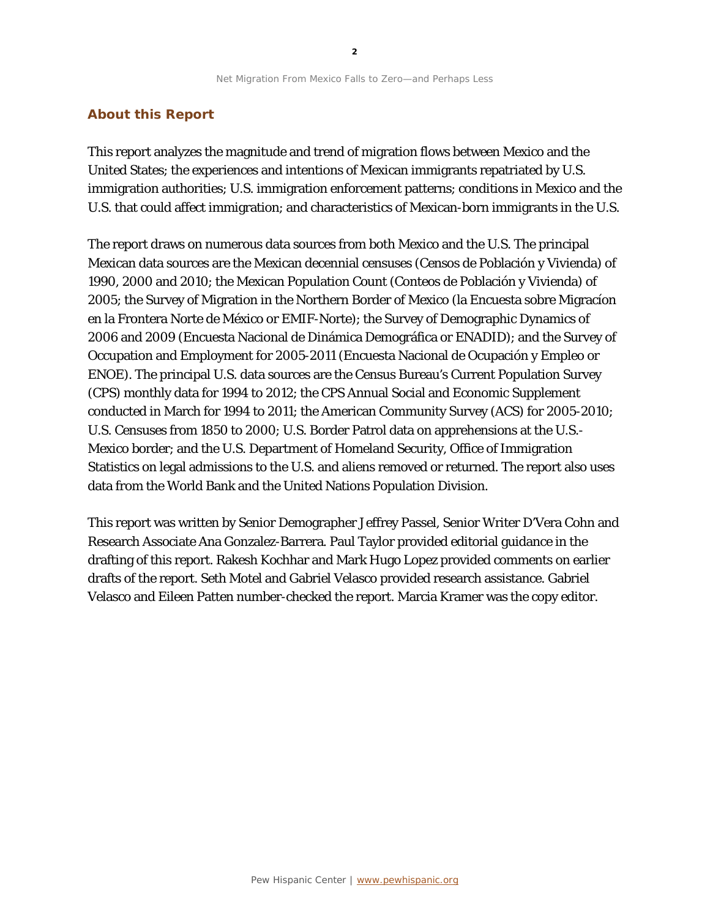#### **About this Report**

This report analyzes the magnitude and trend of migration flows between Mexico and the United States; the experiences and intentions of Mexican immigrants repatriated by U.S. immigration authorities; U.S. immigration enforcement patterns; conditions in Mexico and the U.S. that could affect immigration; and characteristics of Mexican-born immigrants in the U.S.

The report draws on numerous data sources from both Mexico and the U.S. The principal Mexican data sources are the Mexican decennial censuses (Censos de Población y Vivienda) of 1990, 2000 and 2010; the Mexican Population Count (Conteos de Población y Vivienda) of 2005; the Survey of Migration in the Northern Border of Mexico (la Encuesta sobre Migracíon en la Frontera Norte de México or EMIF-Norte); the Survey of Demographic Dynamics of 2006 and 2009 (Encuesta Nacional de Dinámica Demográfica or ENADID); and the Survey of Occupation and Employment for 2005-2011 (Encuesta Nacional de Ocupación y Empleo or ENOE). The principal U.S. data sources are the Census Bureau's Current Population Survey (CPS) monthly data for 1994 to 2012; the CPS Annual Social and Economic Supplement conducted in March for 1994 to 2011; the American Community Survey (ACS) for 2005-2010; U.S. Censuses from 1850 to 2000; U.S. Border Patrol data on apprehensions at the U.S.- Mexico border; and the U.S. Department of Homeland Security, Office of Immigration Statistics on legal admissions to the U.S. and aliens removed or returned. The report also uses data from the World Bank and the United Nations Population Division.

This report was written by Senior Demographer Jeffrey Passel, Senior Writer D'Vera Cohn and Research Associate Ana Gonzalez-Barrera. Paul Taylor provided editorial guidance in the drafting of this report. Rakesh Kochhar and Mark Hugo Lopez provided comments on earlier drafts of the report. Seth Motel and Gabriel Velasco provided research assistance. Gabriel Velasco and Eileen Patten number-checked the report. Marcia Kramer was the copy editor.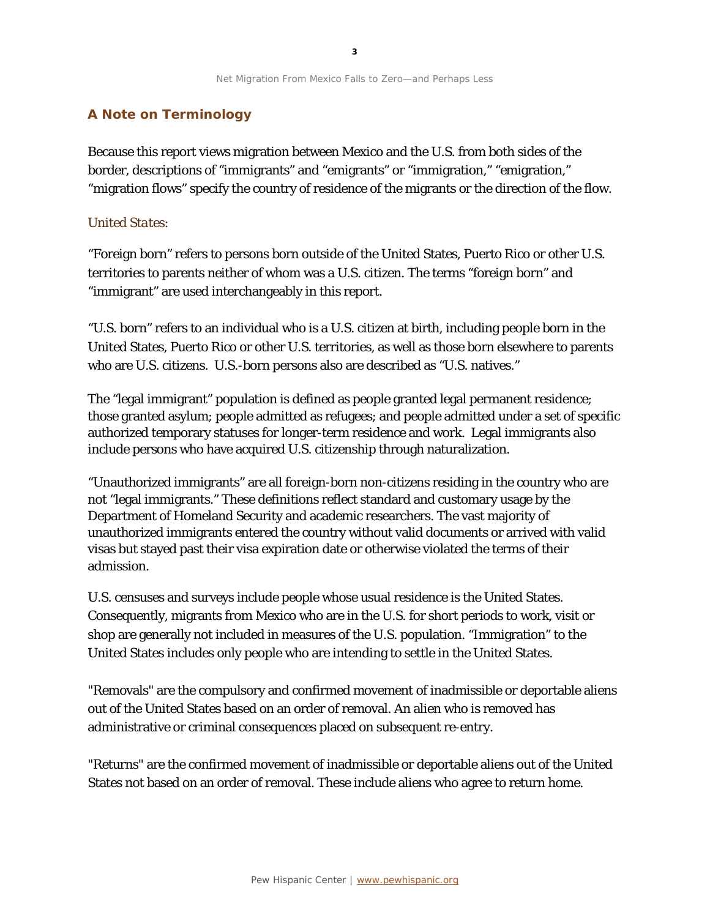### **A Note on Terminology**

Because this report views migration between Mexico and the U.S. from both sides of the border, descriptions of "immigrants" and "emigrants" or "immigration," "emigration," "migration flows" specify the country of residence of the migrants or the direction of the flow.

### *United States:*

"Foreign born" refers to persons born outside of the United States, Puerto Rico or other U.S. territories to parents neither of whom was a U.S. citizen. The terms "foreign born" and "immigrant" are used interchangeably in this report.

"U.S. born" refers to an individual who is a U.S. citizen at birth, including people born in the United States, Puerto Rico or other U.S. territories, as well as those born elsewhere to parents who are U.S. citizens. U.S.-born persons also are described as "U.S. natives."

The "legal immigrant" population is defined as people granted legal permanent residence; those granted asylum; people admitted as refugees; and people admitted under a set of specific authorized temporary statuses for longer-term residence and work. Legal immigrants also include persons who have acquired U.S. citizenship through naturalization.

"Unauthorized immigrants" are all foreign-born non-citizens residing in the country who are not "legal immigrants." These definitions reflect standard and customary usage by the Department of Homeland Security and academic researchers. The vast majority of unauthorized immigrants entered the country without valid documents or arrived with valid visas but stayed past their visa expiration date or otherwise violated the terms of their admission.

U.S. censuses and surveys include people whose usual residence is the United States. Consequently, migrants from Mexico who are in the U.S. for short periods to work, visit or shop are generally not included in measures of the U.S. population. "Immigration" to the United States includes only people who are intending to settle in the United States.

"Removals" are the compulsory and confirmed movement of inadmissible or deportable aliens out of the United States based on an order of removal. An alien who is removed has administrative or criminal consequences placed on subsequent re-entry.

"Returns" are the confirmed movement of inadmissible or deportable aliens out of the United States not based on an order of removal. These include aliens who agree to return home.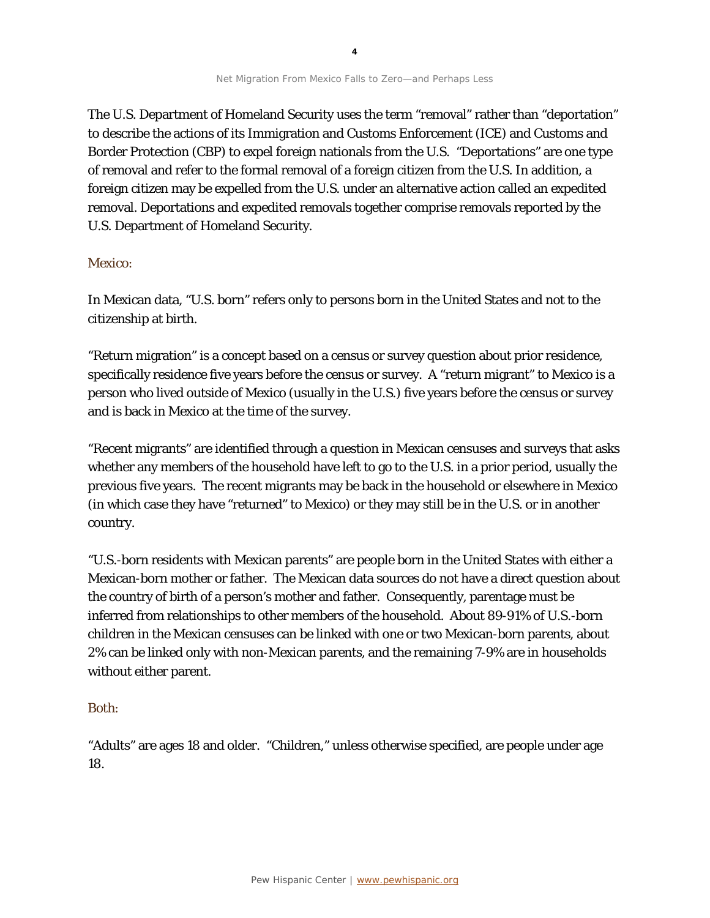The U.S. Department of Homeland Security uses the term "removal" rather than "deportation" to describe the actions of its Immigration and Customs Enforcement (ICE) and Customs and Border Protection (CBP) to expel foreign nationals from the U.S. "Deportations" are one type of removal and refer to the formal removal of a foreign citizen from the U.S. In addition, a foreign citizen may be expelled from the U.S. under an alternative action called an expedited removal. Deportations and expedited removals together comprise removals reported by the U.S. Department of Homeland Security.

### *Mexico:*

In Mexican data, "U.S. born" refers only to persons born in the United States and not to the citizenship at birth.

"Return migration" is a concept based on a census or survey question about prior residence, specifically residence five years before the census or survey. A "return migrant" to Mexico is a person who lived outside of Mexico (usually in the U.S.) five years before the census or survey and is back in Mexico at the time of the survey.

"Recent migrants" are identified through a question in Mexican censuses and surveys that asks whether any members of the household have left to go to the U.S. in a prior period, usually the previous five years. The recent migrants may be back in the household or elsewhere in Mexico (in which case they have "returned" to Mexico) or they may still be in the U.S. or in another country.

"U.S.-born residents with Mexican parents" are people born in the United States with either a Mexican-born mother or father. The Mexican data sources do not have a direct question about the country of birth of a person's mother and father. Consequently, parentage must be inferred from relationships to other members of the household. About 89-91% of U.S.-born children in the Mexican censuses can be linked with one or two Mexican-born parents, about 2% can be linked only with non-Mexican parents, and the remaining 7-9% are in households without either parent.

### *Both:*

"Adults" are ages 18 and older. "Children," unless otherwise specified, are people under age 18.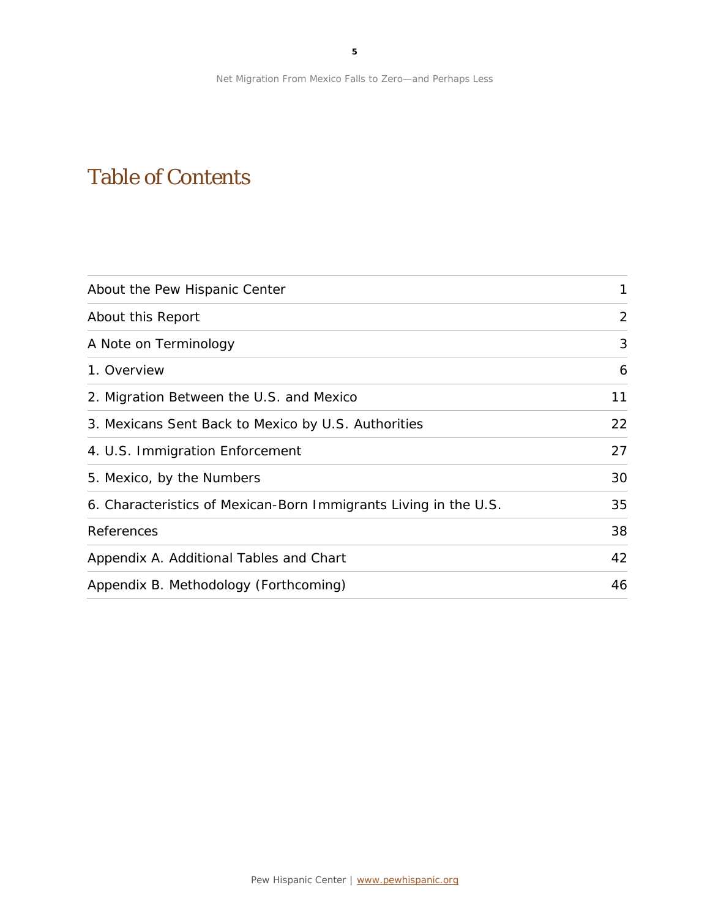## Table of Contents

| About the Pew Hispanic Center                                    | 1  |
|------------------------------------------------------------------|----|
| About this Report                                                | 2  |
| A Note on Terminology                                            | 3  |
| 1. Overview                                                      | 6  |
| 2. Migration Between the U.S. and Mexico                         | 11 |
| 3. Mexicans Sent Back to Mexico by U.S. Authorities              | 22 |
| 4. U.S. Immigration Enforcement                                  | 27 |
| 5. Mexico, by the Numbers                                        | 30 |
| 6. Characteristics of Mexican-Born Immigrants Living in the U.S. | 35 |
| References                                                       | 38 |
| Appendix A. Additional Tables and Chart                          | 42 |
| Appendix B. Methodology (Forthcoming)                            | 46 |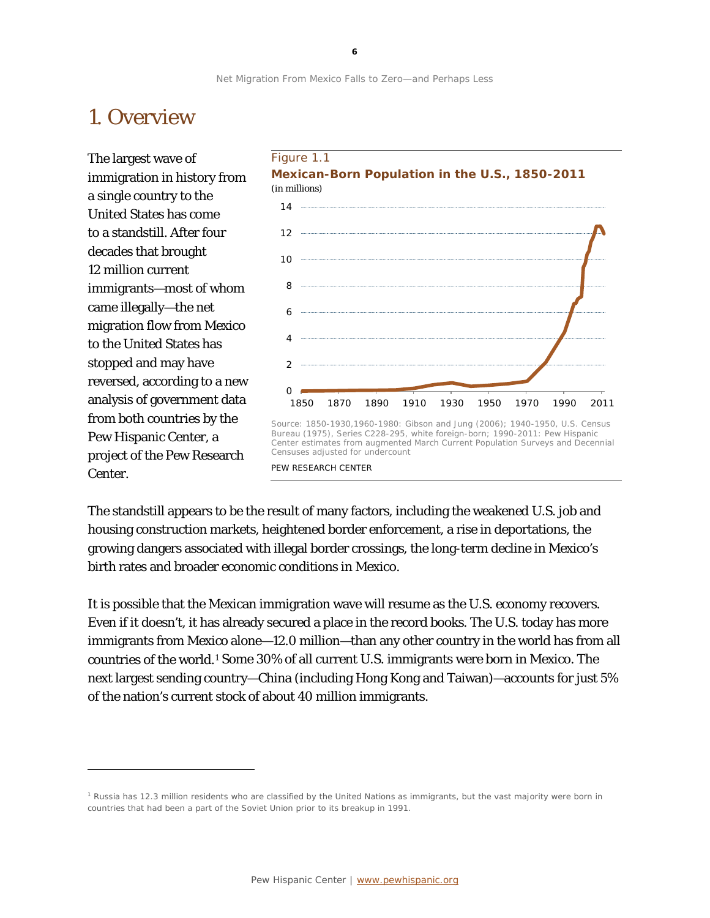## 1. Overview

The largest wave of immigration in history from a single country to the United States has come to a standstill. After four decades that brought 12 million current immigrants—most of whom came illegally—the net migration flow from Mexico to the United States has stopped and may have reversed, according to a new analysis of government data from both countries by the Pew Hispanic Center, a project of the Pew Research Center.

1



The standstill appears to be the result of many factors, including the weakened U.S. job and housing construction markets, heightened border enforcement, a rise in deportations, the growing dangers associated with illegal border crossings, the long-term decline in Mexico's birth rates and broader economic conditions in Mexico.

It is possible that the Mexican immigration wave will resume as the U.S. economy recovers. Even if it doesn't, it has already secured a place in the record books. The U.S. today has more immigrants from Mexico alone—12.0 million—than any other country in the world has from all countries of the world.[1](#page-6-0) Some 30% of all current U.S. immigrants were born in Mexico. The next largest sending country—China (including Hong Kong and Taiwan)—accounts for just 5% of the nation's current stock of about 40 million immigrants.

<span id="page-6-0"></span><sup>1</sup> Russia has 12.3 million residents who are classified by the United Nations as immigrants, but the vast majority were born in countries that had been a part of the Soviet Union prior to its breakup in 1991.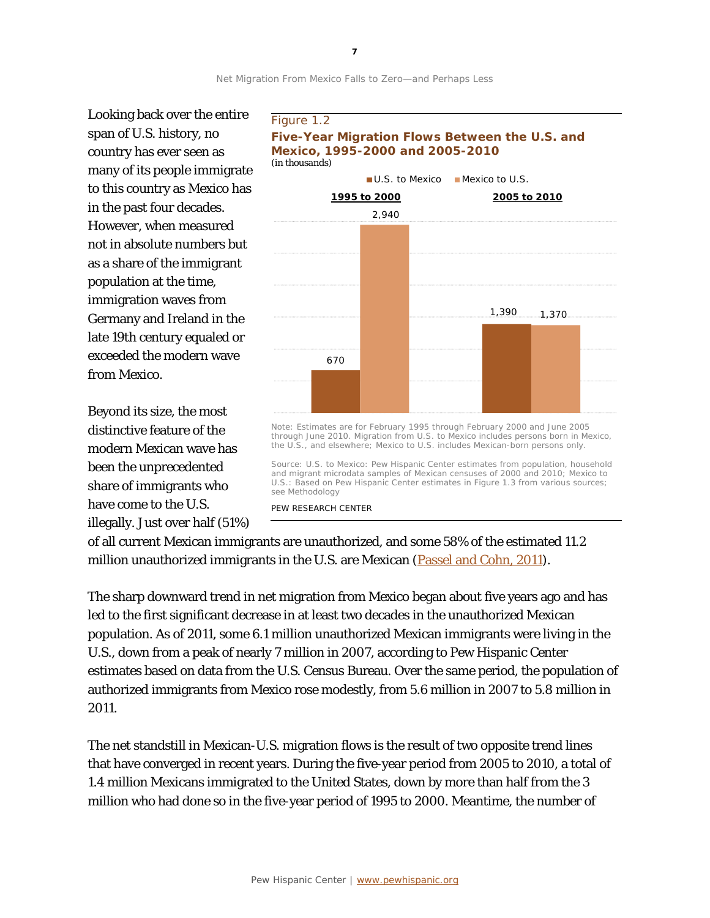Looking back over the entire span of U.S. history, no country has ever seen as many of its people immigrate to this country as Mexico has in the past four decades. However, when measured not in absolute numbers but as a share of the immigrant population at the time, immigration waves from Germany and Ireland in the late 19th century equaled or exceeded the modern wave from Mexico.

Beyond its size, the most distinctive feature of the modern Mexican wave has been the unprecedented share of immigrants who have come to the U.S. illegally. Just over half (51%)





through June 2010. Migration from U.S. to Mexico includes persons born in Mexico, the U.S., and elsewhere; Mexico to U.S. includes Mexican-born persons only.

Source: U.S. to Mexico: Pew Hispanic Center estimates from population, household and migrant microdata samples of Mexican censuses of 2000 and 2010; Mexico to U.S.: Based on Pew Hispanic Center estimates in Figure 1.3 from various sources; see Methodology

PEW RESEARCH CENTER

of all current Mexican immigrants are unauthorized, and some 58% of the estimated 11.2 million unauthorized immigrants in the U.S. are Mexican [\(Passel and Cohn, 2011\)](http://www.pewhispanic.org/2011/02/01/unauthorized-immigrant-population-brnational-and-state-trends-2010/).

The sharp downward trend in net migration from Mexico began about five years ago and has led to the first significant decrease in at least two decades in the unauthorized Mexican population. As of 2011, some 6.1 million unauthorized Mexican immigrants were living in the U.S., down from a peak of nearly 7 million in 2007, according to Pew Hispanic Center estimates based on data from the U.S. Census Bureau. Over the same period, the population of authorized immigrants from Mexico rose modestly, from 5.6 million in 2007 to 5.8 million in 2011.

The net standstill in Mexican-U.S. migration flows is the result of two opposite trend lines that have converged in recent years. During the five-year period from 2005 to 2010, a total of 1.4 million Mexicans immigrated to the United States, down by more than half from the 3 million who had done so in the five-year period of 1995 to 2000. Meantime, the number of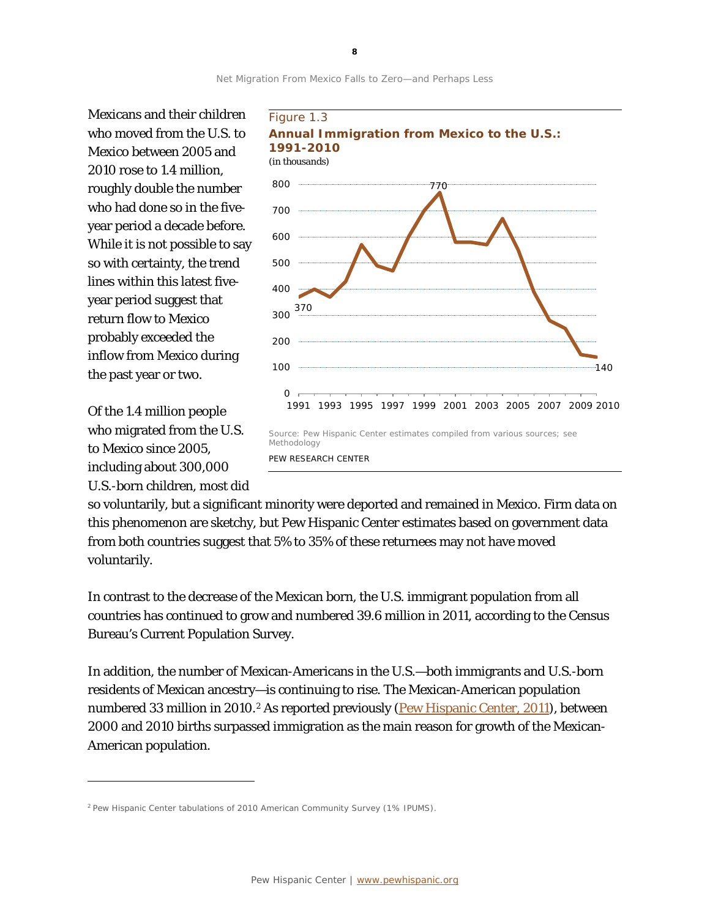

Mexicans and their children who moved from the U.S. to Mexico between 2005 and 2010 rose to 1.4 million, roughly double the number who had done so in the fiveyear period a decade before. While it is not possible to say so with certainty, the trend lines within this latest fiveyear period suggest that return flow to Mexico probably exceeded the inflow from Mexico during the past year or two.

Of the 1.4 million people who migrated from the U.S. to Mexico since 2005, including about 300,000 U.S.-born children, most did

l



so voluntarily, but a significant minority were deported and remained in Mexico. Firm data on this phenomenon are sketchy, but Pew Hispanic Center estimates based on government data from both countries suggest that 5% to 35% of these returnees may not have moved voluntarily.

In contrast to the decrease of the Mexican born, the U.S. immigrant population from all countries has continued to grow and numbered 39.6 million in 2011, according to the Census Bureau's Current Population Survey.

In addition, the number of Mexican-Americans in the U.S.—both immigrants and U.S.-born residents of Mexican ancestry—is continuing to rise. The Mexican-American population numbered 33 million in [2](#page-8-0)010.<sup>2</sup> As reported previously [\(Pew Hispanic Center, 2011\)](http://www.pewhispanic.org/2011/07/14/the-mexican-american-boom-brbirths-overtake-immigration/), between 2000 and 2010 births surpassed immigration as the main reason for growth of the Mexican-American population.

**8**

<span id="page-8-0"></span><sup>&</sup>lt;sup>2</sup> Pew Hispanic Center tabulations of 2010 American Community Survey (1% IPUMS).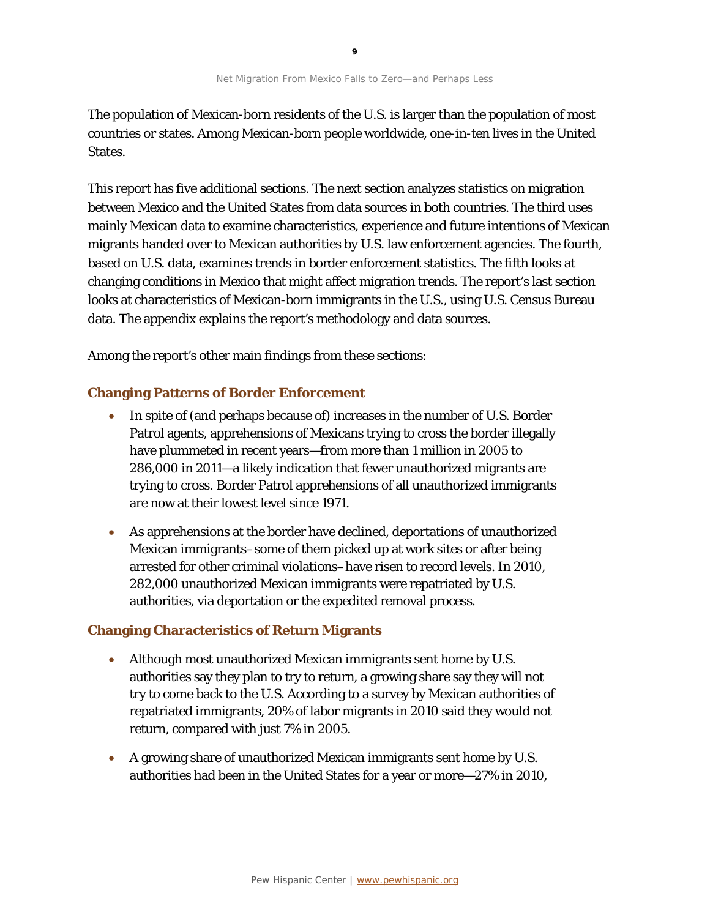The population of Mexican-born residents of the U.S. is larger than the population of most countries or states. Among Mexican-born people worldwide, one-in-ten lives in the United States.

This report has five additional sections. The next section analyzes statistics on migration between Mexico and the United States from data sources in both countries. The third uses mainly Mexican data to examine characteristics, experience and future intentions of Mexican migrants handed over to Mexican authorities by U.S. law enforcement agencies. The fourth, based on U.S. data, examines trends in border enforcement statistics. The fifth looks at changing conditions in Mexico that might affect migration trends. The report's last section looks at characteristics of Mexican-born immigrants in the U.S., using U.S. Census Bureau data. The appendix explains the report's methodology and data sources.

Among the report's other main findings from these sections:

### **Changing Patterns of Border Enforcement**

- In spite of (and perhaps because of) increases in the number of U.S. Border Patrol agents, apprehensions of Mexicans trying to cross the border illegally have plummeted in recent years—from more than 1 million in 2005 to 286,000 in 2011—a likely indication that fewer unauthorized migrants are trying to cross. Border Patrol apprehensions of all unauthorized immigrants are now at their lowest level since 1971.
- As apprehensions at the border have declined, deportations of unauthorized Mexican immigrants–some of them picked up at work sites or after being arrested for other criminal violations–have risen to record levels. In 2010, 282,000 unauthorized Mexican immigrants were repatriated by U.S. authorities, via deportation or the expedited removal process.

#### **Changing Characteristics of Return Migrants**

- Although most unauthorized Mexican immigrants sent home by U.S. authorities say they plan to try to return, a growing share say they will not try to come back to the U.S. According to a survey by Mexican authorities of repatriated immigrants, 20% of labor migrants in 2010 said they would not return, compared with just 7% in 2005.
- A growing share of unauthorized Mexican immigrants sent home by U.S. authorities had been in the United States for a year or more—27% in 2010,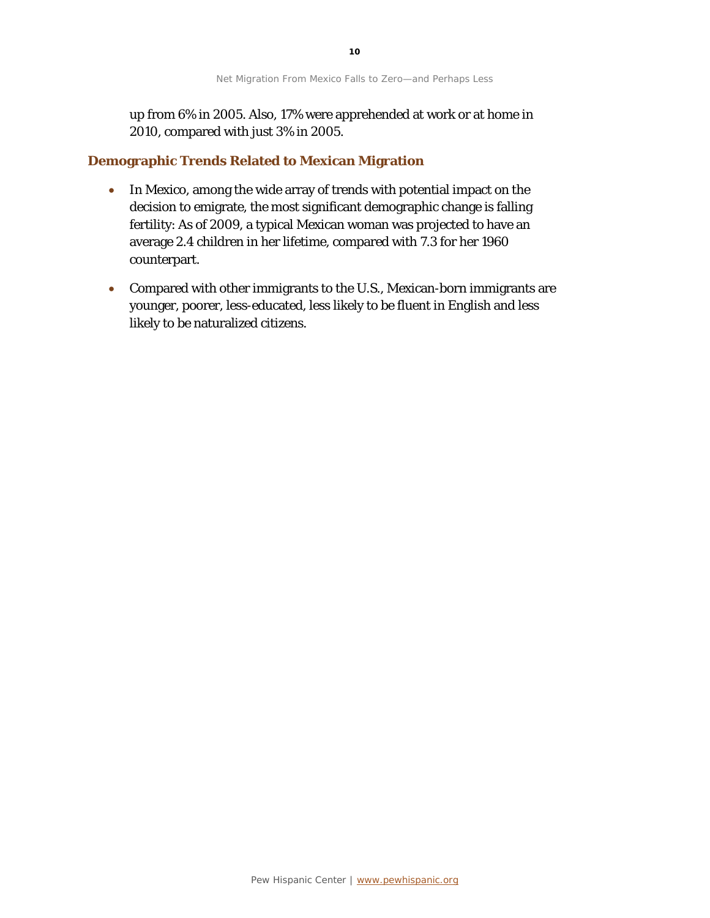up from 6% in 2005. Also, 17% were apprehended at work or at home in 2010, compared with just 3% in 2005.

#### **Demographic Trends Related to Mexican Migration**

- In Mexico, among the wide array of trends with potential impact on the decision to emigrate, the most significant demographic change is falling fertility: As of 2009, a typical Mexican woman was projected to have an average 2.4 children in her lifetime, compared with 7.3 for her 1960 counterpart.
- Compared with other immigrants to the U.S., Mexican-born immigrants are younger, poorer, less-educated, less likely to be fluent in English and less likely to be naturalized citizens.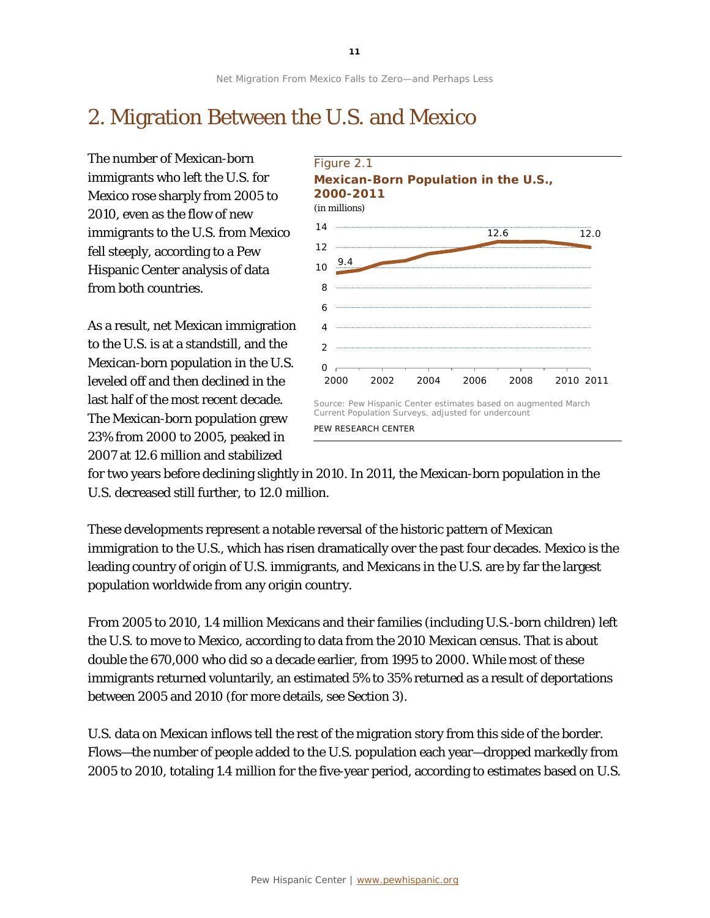## 2. Migration Between the U.S. and Mexico

The number of Mexican-born immigrants who left the U.S. for Mexico rose sharply from 2005 to 2010, even as the flow of new immigrants to the U.S. from Mexico fell steeply, according to a Pew Hispanic Center analysis of data from both countries.

As a result, net Mexican immigration to the U.S. is at a standstill, and the Mexican-born population in the U.S. leveled off and then declined in the last half of the most recent decade. The Mexican-born population grew 23% from 2000 to 2005, peaked in 2007 at 12.6 million and stabilized



for two years before declining slightly in 2010. In 2011, the Mexican-born population in the U.S. decreased still further, to 12.0 million.

These developments represent a notable reversal of the historic pattern of Mexican immigration to the U.S., which has risen dramatically over the past four decades. Mexico is the leading country of origin of U.S. immigrants, and Mexicans in the U.S. are by far the largest population worldwide from any origin country.

From 2005 to 2010, 1.4 million Mexicans and their families (including U.S.-born children) left the U.S. to move to Mexico, according to data from the 2010 Mexican census. That is about double the 670,000 who did so a decade earlier, from 1995 to 2000. While most of these immigrants returned voluntarily, an estimated 5% to 35% returned as a result of deportations between 2005 and 2010 (for more details, see Section 3).

U.S. data on Mexican inflows tell the rest of the migration story from this side of the border. Flows—the number of people added to the U.S. population each year—dropped markedly from 2005 to 2010, totaling 1.4 million for the five-year period, according to estimates based on U.S.

**11**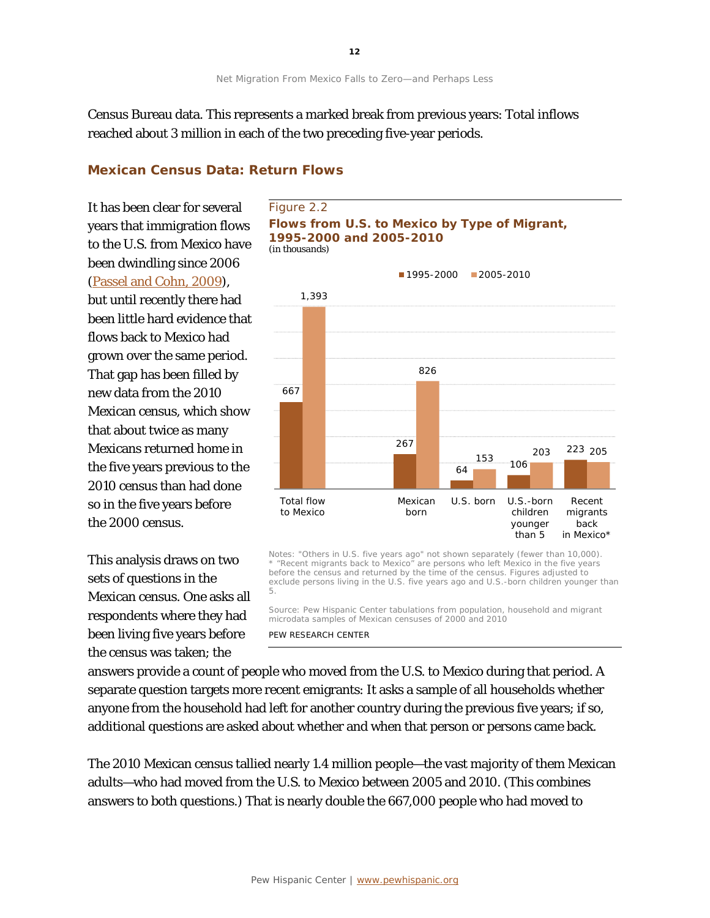Census Bureau data. This represents a marked break from previous years: Total inflows reached about 3 million in each of the two preceding five-year periods.

### **Mexican Census Data: Return Flows**

It has been clear for several years that immigration flows to the U.S. from Mexico have been dwindling since 2006 [\(Passel and Cohn,](http://www.pewhispanic.org/2009/07/22/mexican-immigrants-how-many-come-how-many-leave/) 2009), but until recently there had been little hard evidence that flows back to Mexico had grown over the same period. That gap has been filled by new data from the 2010 Mexican census, which show that about twice as many Mexicans returned home in the five years previous to the 2010 census than had done so in the five years before the 2000 census.

This analysis draws on two sets of questions in the Mexican census. One asks all respondents where they had been living five years before the census was taken; the





Notes: "Others in U.S. five years ago" not shown separately (fewer than 10,000). \* "Recent migrants back to Mexico" are persons who left Mexico in the five years before the census and returned by the time of the census. Figures adjusted to exclude persons living in the U.S. five years ago and U.S.-born children younger than 5.

Source: Pew Hispanic Center tabulations from population, household and migrant microdata samples of Mexican censuses of 2000 and 2010

#### PEW RESEARCH CENTER

answers provide a count of people who moved from the U.S. to Mexico during that period. A separate question targets more recent emigrants: It asks a sample of all households whether anyone from the household had left for another country during the previous five years; if so, additional questions are asked about whether and when that person or persons came back.

The 2010 Mexican census tallied nearly 1.4 million people—the vast majority of them Mexican adults—who had moved from the U.S. to Mexico between 2005 and 2010. (This combines answers to both questions.) That is nearly double the 667,000 people who had moved to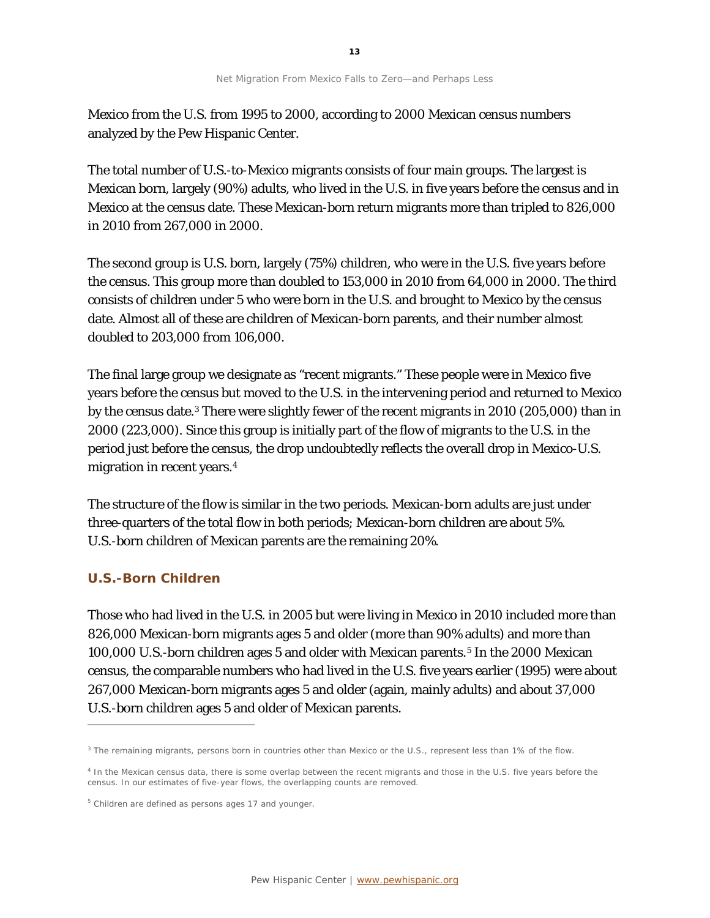Mexico from the U.S. from 1995 to 2000, according to 2000 Mexican census numbers analyzed by the Pew Hispanic Center.

The total number of U.S.-to-Mexico migrants consists of four main groups. The largest is Mexican born, largely (90%) adults, who lived in the U.S. in five years before the census and in Mexico at the census date. These Mexican-born return migrants more than tripled to 826,000 in 2010 from 267,000 in 2000.

The second group is U.S. born, largely (75%) children, who were in the U.S. five years before the census. This group more than doubled to 153,000 in 2010 from 64,000 in 2000. The third consists of children under 5 who were born in the U.S. and brought to Mexico by the census date. Almost all of these are children of Mexican-born parents, and their number almost doubled to 203,000 from 106,000.

The final large group we designate as "recent migrants." These people were in Mexico five years before the census but moved to the U.S. in the intervening period and returned to Mexico by the census date.[3](#page-13-0) There were slightly fewer of the recent migrants in 2010 (205,000) than in 2000 (223,000). Since this group is initially part of the flow of migrants to the U.S. in the period just before the census, the drop undoubtedly reflects the overall drop in Mexico-U.S. migration in recent years.[4](#page-13-1)

The structure of the flow is similar in the two periods. Mexican-born adults are just under three-quarters of the total flow in both periods; Mexican-born children are about 5%. U.S.-born children of Mexican parents are the remaining 20%.

### **U.S.-Born Children**

1

Those who had lived in the U.S. in 2005 but were living in Mexico in 2010 included more than 826,000 Mexican-born migrants ages 5 and older (more than 90% adults) and more than 100,000 U.S.-born children ages [5](#page-13-2) and older with Mexican parents.<sup>5</sup> In the 2000 Mexican census, the comparable numbers who had lived in the U.S. five years earlier (1995) were about 267,000 Mexican-born migrants ages 5 and older (again, mainly adults) and about 37,000 U.S.-born children ages 5 and older of Mexican parents.

<span id="page-13-0"></span><sup>&</sup>lt;sup>3</sup> The remaining migrants, persons born in countries other than Mexico or the U.S., represent less than 1% of the flow.

<span id="page-13-1"></span><sup>&</sup>lt;sup>4</sup> In the Mexican census data, there is some overlap between the recent migrants and those in the U.S. five years before the census. In our estimates of five-year flows, the overlapping counts are removed.

<span id="page-13-2"></span><sup>5</sup> Children are defined as persons ages 17 and younger.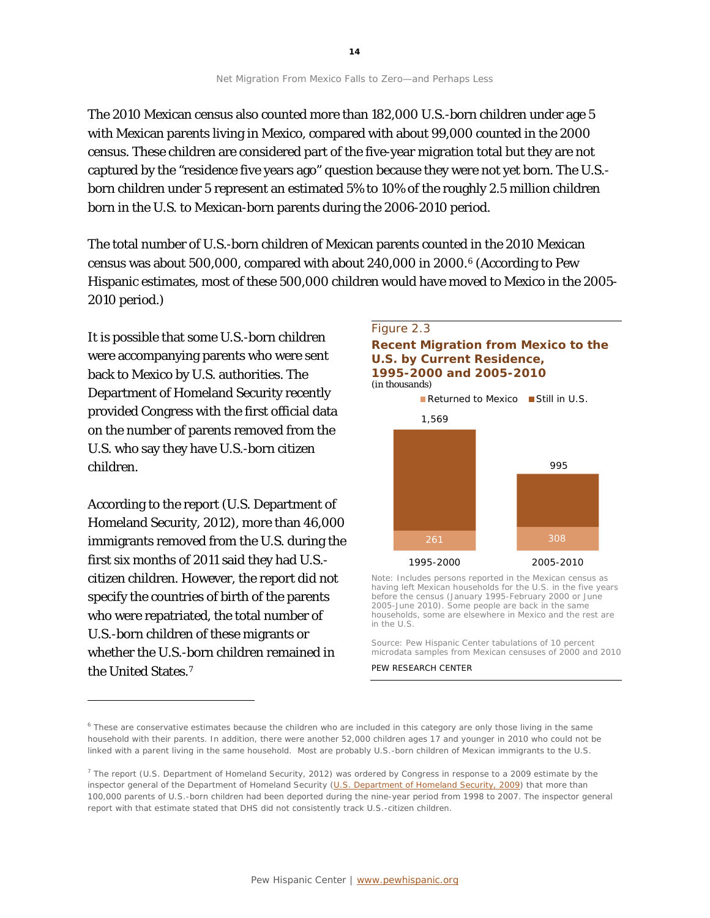The 2010 Mexican census also counted more than 182,000 U.S.-born children under age 5 with Mexican parents living in Mexico, compared with about 99,000 counted in the 2000 census. These children are considered part of the five-year migration total but they are not captured by the "residence five years ago" question because they were not yet born. The U.S. born children under 5 represent an estimated 5% to 10% of the roughly 2.5 million children born in the U.S. to Mexican-born parents during the 2006-2010 period.

The total number of U.S.-born children of Mexican parents counted in the 2010 Mexican census was about 500,000, compared with about 240,000 in 2000.[6](#page-14-0) (According to Pew Hispanic estimates, most of these 500,000 children would have moved to Mexico in the 2005- 2010 period.)

It is possible that some U.S.-born children were accompanying parents who were sent back to Mexico by U.S. authorities. The Department of Homeland Security recently provided Congress with the first official data on the number of parents removed from the U.S. who say they have U.S.-born citizen children.

According to the report (U.S. Department of Homeland Security, 2012), more than 46,000 immigrants removed from the U.S. during the first six months of 2011 said they had U.S. citizen children. However, the report did not specify the countries of birth of the parents who were repatriated, the total number of U.S.-born children of these migrants or whether the U.S.-born children remained in the United States.[7](#page-14-1)

1



261 308 1995-2000 2005-2010 Note: Includes persons reported in the Mexican census as

having left Mexican households for the U.S. in the five years before the census (January 1995-February 2000 or June 2005-June 2010). Some people are back in the same households, some are elsewhere in Mexico and the rest are in the U.S.

Source: Pew Hispanic Center tabulations of 10 percent microdata samples from Mexican censuses of 2000 and 2010

#### PEW RESEARCH CENTER

<span id="page-14-0"></span><sup>6</sup> These are conservative estimates because the children who are included in this category are only those living in the same household with their parents. In addition, there were another 52,000 children ages 17 and younger in 2010 who could not be linked with a parent living in the same household. Most are probably U.S.-born children of Mexican immigrants to the U.S.

<span id="page-14-1"></span><sup>&</sup>lt;sup>7</sup> The report (U.S. Department of Homeland Security, 2012) was ordered by Congress in response to a 2009 estimate by the inspector general of the Department of Homeland Security [\(U.S. Department of Homeland Security, 2009\)](http://www.oig.dhs.gov/assets/Mgmt/OIG_09-15_Jan09.pdf) that more than 100,000 parents of U.S.-born children had been deported during the nine-year period from 1998 to 2007. The inspector general report with that estimate stated that DHS did not consistently track U.S.-citizen children.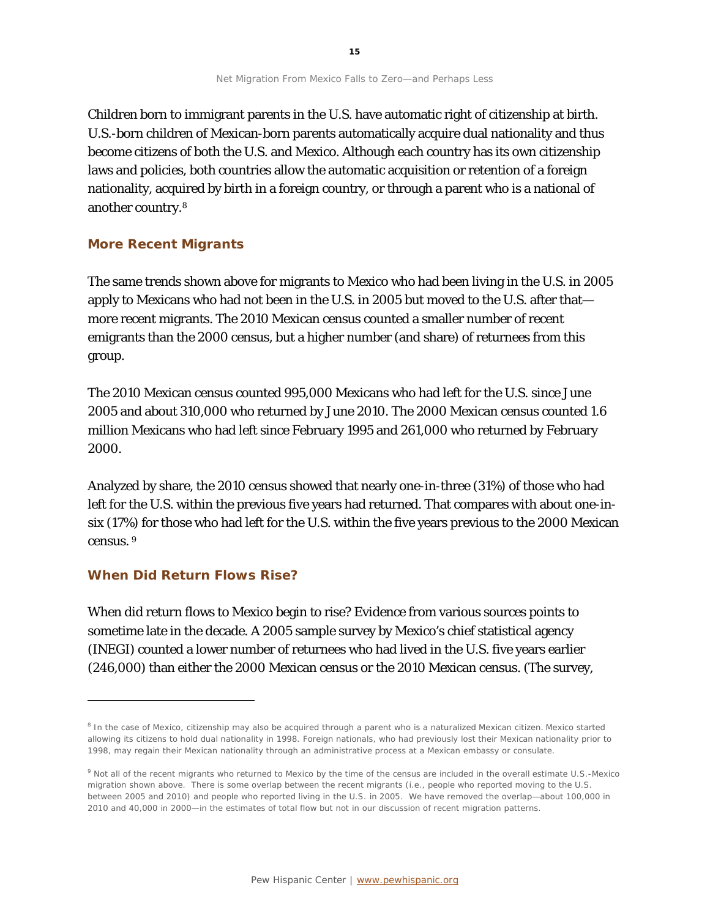Children born to immigrant parents in the U.S. have automatic right of citizenship at birth. U.S.-born children of Mexican-born parents automatically acquire dual nationality and thus become citizens of both the U.S. and Mexico. Although each country has its own citizenship laws and policies, both countries allow the automatic acquisition or retention of a foreign nationality, acquired by birth in a foreign country, or through a parent who is a national of another country.[8](#page-15-0)

### **More Recent Migrants**

The same trends shown above for migrants to Mexico who had been living in the U.S. in 2005 apply to Mexicans who had not been in the U.S. in 2005 but moved to the U.S. after that more recent migrants. The 2010 Mexican census counted a smaller number of recent emigrants than the 2000 census, but a higher number (and share) of returnees from this group.

The 2010 Mexican census counted 995,000 Mexicans who had left for the U.S. since June 2005 and about 310,000 who returned by June 2010. The 2000 Mexican census counted 1.6 million Mexicans who had left since February 1995 and 261,000 who returned by February 2000.

Analyzed by share, the 2010 census showed that nearly one-in-three (31%) of those who had left for the U.S. within the previous five years had returned. That compares with about one-insix (17%) for those who had left for the U.S. within the five years previous to the 2000 Mexican census. [9](#page-15-1)

#### **When Did Return Flows Rise?**

1

When did return flows to Mexico begin to rise? Evidence from various sources points to sometime late in the decade. A 2005 sample survey by Mexico's chief statistical agency (INEGI) counted a lower number of returnees who had lived in the U.S. five years earlier (246,000) than either the 2000 Mexican census or the 2010 Mexican census. (The survey,

<span id="page-15-0"></span><sup>&</sup>lt;sup>8</sup> In the case of Mexico, citizenship may also be acquired through a parent who is a naturalized Mexican citizen. Mexico started allowing its citizens to hold dual nationality in 1998. Foreign nationals, who had previously lost their Mexican nationality prior to 1998, may regain their Mexican nationality through an administrative process at a Mexican embassy or consulate.

<span id="page-15-1"></span><sup>9</sup> Not all of the recent migrants who returned to Mexico by the time of the census are included in the overall estimate U.S.-Mexico migration shown above. There is some overlap between the recent migrants (i.e., people who reported moving to the U.S. between 2005 and 2010) and people who reported living in the U.S. in 2005. We have removed the overlap—about 100,000 in 2010 and 40,000 in 2000—in the estimates of total flow but not in our discussion of recent migration patterns.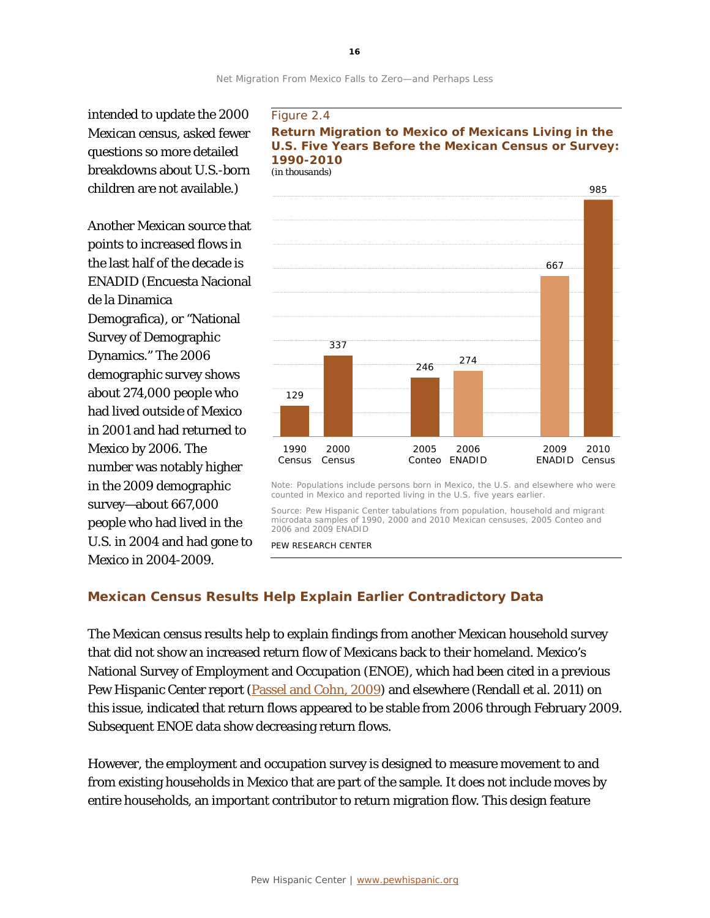intended to update the 2000 Mexican census, asked fewer questions so more detailed breakdowns about U.S.-born children are not available.)

Another Mexican source that points to increased flows in the last half of the decade is ENADID (Encuesta Nacional de la Dinamica Demografica), or "National Survey of Demographic Dynamics." The 2006 demographic survey shows about 274,000 people who had lived outside of Mexico in 2001 and had returned to Mexico by 2006. The number was notably higher in the 2009 demographic survey—about 667,000 people who had lived in the U.S. in 2004 and had gone to Mexico in 2004-2009.

#### Figure 2.4





Note: Populations include persons born in Mexico, the U.S. and elsewhere who were counted in Mexico and reported living in the U.S. five years earlier.

Source: Pew Hispanic Center tabulations from population, household and migrant microdata samples of 1990, 2000 and 2010 Mexican censuses, 2005 Conteo and 2006 and 2009 ENADID

PEW RESEARCH CENTER

### **Mexican Census Results Help Explain Earlier Contradictory Data**

The Mexican census results help to explain findings from another Mexican household survey that did not show an increased return flow of Mexicans back to their homeland. Mexico's National Survey of Employment and Occupation (ENOE), which had been cited in a previous Pew Hispanic Center report [\(Passel and Cohn,](http://www.pewhispanic.org/2009/07/22/mexican-immigrants-how-many-come-how-many-leave/) 2009) and elsewhere (Rendall et al. 2011) on this issue, indicated that return flows appeared to be stable from 2006 through February 2009. Subsequent ENOE data show decreasing return flows.

However, the employment and occupation survey is designed to measure movement to and from existing households in Mexico that are part of the sample. It does not include moves by entire households, an important contributor to return migration flow. This design feature

**16**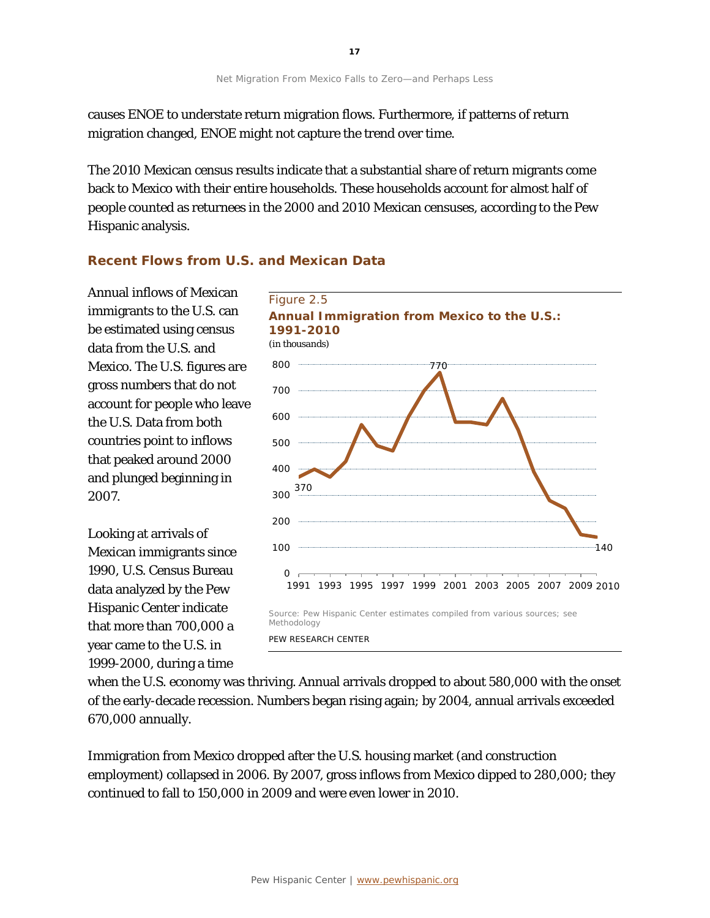causes ENOE to understate return migration flows. Furthermore, if patterns of return migration changed, ENOE might not capture the trend over time.

The 2010 Mexican census results indicate that a substantial share of return migrants come back to Mexico with their entire households. These households account for almost half of people counted as returnees in the 2000 and 2010 Mexican censuses, according to the Pew Hispanic analysis.

### **Recent Flows from U.S. and Mexican Data**

Annual inflows of Mexican immigrants to the U.S. can be estimated using census data from the U.S. and Mexico. The U.S. figures are gross numbers that do not account for people who leave the U.S. Data from both countries point to inflows that peaked around 2000 and plunged beginning in 2007.

Looking at arrivals of Mexican immigrants since 1990, U.S. Census Bureau data analyzed by the Pew Hispanic Center indicate that more than 700,000 a year came to the U.S. in 1999-2000, during a time



when the U.S. economy was thriving. Annual arrivals dropped to about 580,000 with the onset of the early-decade recession. Numbers began rising again; by 2004, annual arrivals exceeded 670,000 annually.

Immigration from Mexico dropped after the U.S. housing market (and construction employment) collapsed in 2006. By 2007, gross inflows from Mexico dipped to 280,000; they continued to fall to 150,000 in 2009 and were even lower in 2010.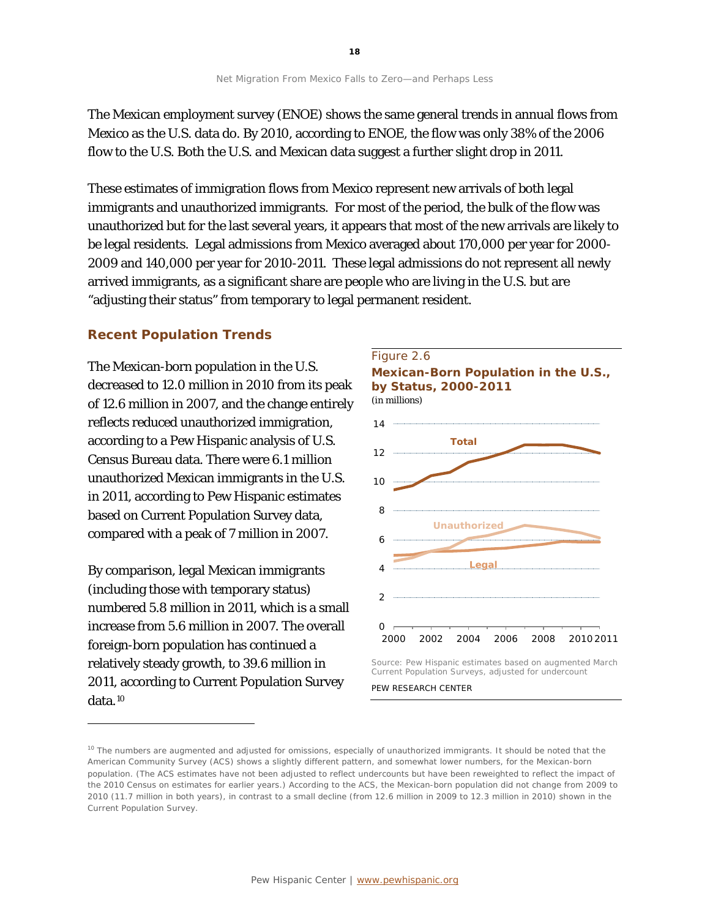The Mexican employment survey (ENOE) shows the same general trends in annual flows from Mexico as the U.S. data do. By 2010, according to ENOE, the flow was only 38% of the 2006 flow to the U.S. Both the U.S. and Mexican data suggest a further slight drop in 2011.

These estimates of immigration flows from Mexico represent new arrivals of both legal immigrants and unauthorized immigrants. For most of the period, the bulk of the flow was unauthorized but for the last several years, it appears that most of the new arrivals are likely to be legal residents. Legal admissions from Mexico averaged about 170,000 per year for 2000- 2009 and 140,000 per year for 2010-2011. These legal admissions do not represent all newly arrived immigrants, as a significant share are people who are living in the U.S. but are "adjusting their status" from temporary to legal permanent resident.

#### **Recent Population Trends**

The Mexican-born population in the U.S. decreased to 12.0 million in 2010 from its peak of 12.6 million in 2007, and the change entirely reflects reduced unauthorized immigration, according to a Pew Hispanic analysis of U.S. Census Bureau data. There were 6.1 million unauthorized Mexican immigrants in the U.S. in 2011, according to Pew Hispanic estimates based on Current Population Survey data, compared with a peak of 7 million in 2007.

By comparison, legal Mexican immigrants (including those with temporary status) numbered 5.8 million in 2011, which is a small increase from 5.6 million in 2007. The overall foreign-born population has continued a relatively steady growth, to 39.6 million in 2011, according to Current Population Survey data.[10](#page-18-0)

l







Current Population Surveys, adjusted for undercount

PEW RESEARCH CENTER

<span id="page-18-0"></span><sup>&</sup>lt;sup>10</sup> The numbers are augmented and adjusted for omissions, especially of unauthorized immigrants. It should be noted that the American Community Survey (ACS) shows a slightly different pattern, and somewhat lower numbers, for the Mexican-born population. (The ACS estimates have not been adjusted to reflect undercounts but have been reweighted to reflect the impact of the 2010 Census on estimates for earlier years.) According to the ACS, the Mexican-born population did not change from 2009 to 2010 (11.7 million in both years), in contrast to a small decline (from 12.6 million in 2009 to 12.3 million in 2010) shown in the Current Population Survey.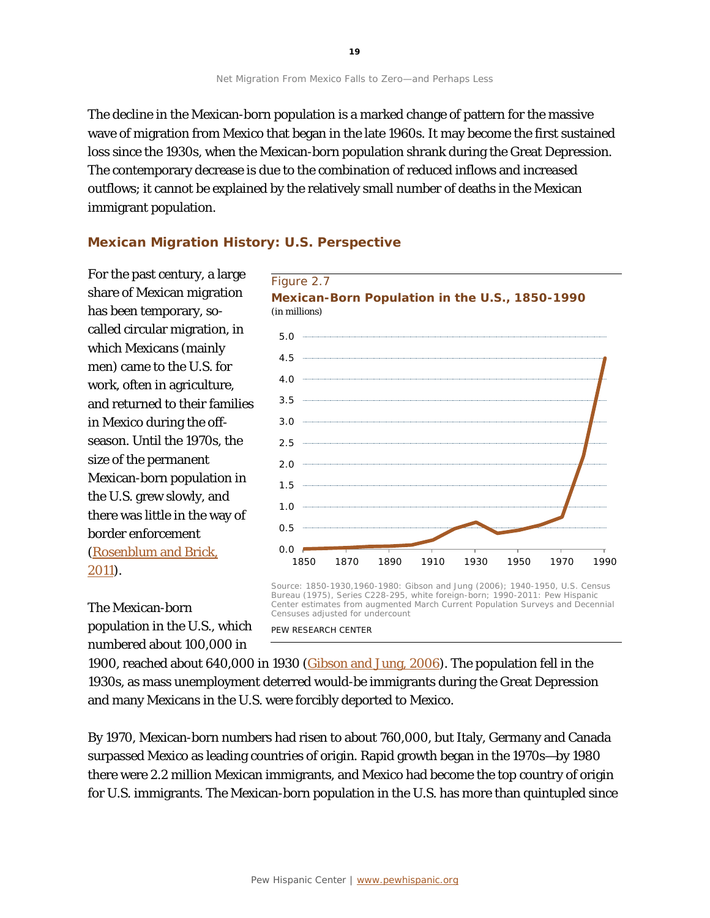The decline in the Mexican-born population is a marked change of pattern for the massive wave of migration from Mexico that began in the late 1960s. It may become the first sustained loss since the 1930s, when the Mexican-born population shrank during the Great Depression. The contemporary decrease is due to the combination of reduced inflows and increased outflows; it cannot be explained by the relatively small number of deaths in the Mexican immigrant population.

## **Mexican Migration History: U.S. Perspective**

For the past century, a large share of Mexican migration has been temporary, socalled circular migration, in which Mexicans (mainly men) came to the U.S. for work, often in agriculture, and returned to their families in Mexico during the offseason. Until the 1970s, the size of the permanent Mexican-born population in the U.S. grew slowly, and there was little in the way of border enforcement [\(Rosenblum and Brick,](http://www.migrationpolicy.org/pubs/RMSG-regionalflows.pdf) [2011\)](http://www.migrationpolicy.org/pubs/RMSG-regionalflows.pdf).



The Mexican-born population in the U.S., which numbered about 100,000 in

Source: 1850-1930,1960-1980: Gibson and Jung (2006); 1940-1950, U.S. Census Bureau (1975), Series C228-295, white foreign-born; 1990-2011: Pew Hispanic Center estimates from augmented March Current Population Surveys and Decennial Censuses adjusted for undercount

PEW RESEARCH CENTER

1900, reached about 640,000 in 1930 [\(Gibson and Jung, 2006\)](http://www.census.gov/population/www/documentation/twps0081/twps0081.html). The population fell in the 1930s, as mass unemployment deterred would-be immigrants during the Great Depression and many Mexicans in the U.S. were forcibly deported to Mexico.

By 1970, Mexican-born numbers had risen to about 760,000, but Italy, Germany and Canada surpassed Mexico as leading countries of origin. Rapid growth began in the 1970s—by 1980 there were 2.2 million Mexican immigrants, and Mexico had become the top country of origin for U.S. immigrants. The Mexican-born population in the U.S. has more than quintupled since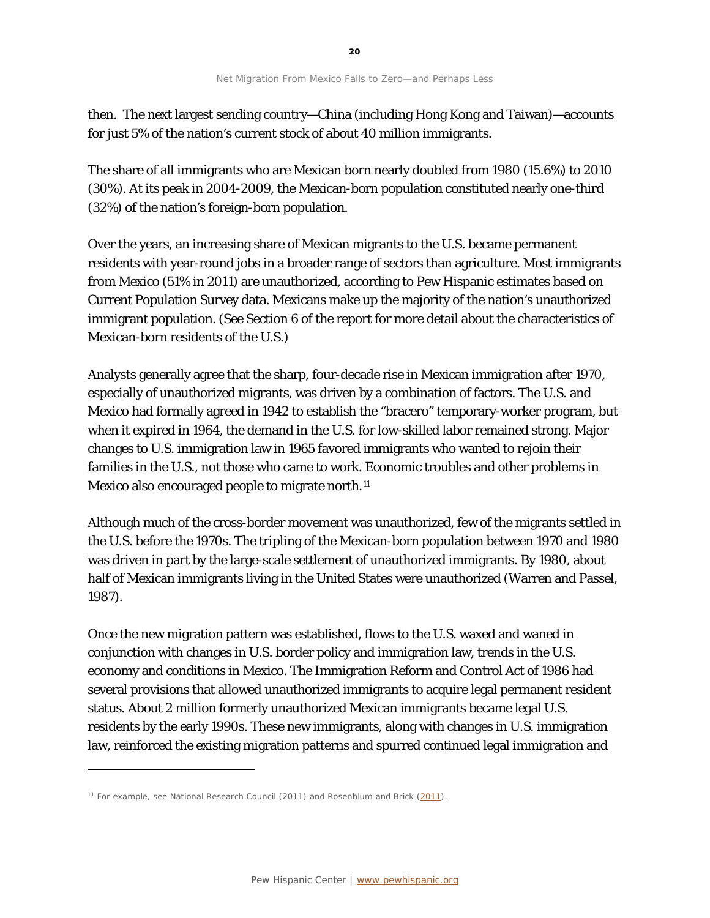then. The next largest sending country—China (including Hong Kong and Taiwan)—accounts for just 5% of the nation's current stock of about 40 million immigrants.

The share of all immigrants who are Mexican born nearly doubled from 1980 (15.6%) to 2010 (30%). At its peak in 2004-2009, the Mexican-born population constituted nearly one-third (32%) of the nation's foreign-born population.

Over the years, an increasing share of Mexican migrants to the U.S. became permanent residents with year-round jobs in a broader range of sectors than agriculture. Most immigrants from Mexico (51% in 2011) are unauthorized, according to Pew Hispanic estimates based on Current Population Survey data. Mexicans make up the majority of the nation's unauthorized immigrant population. (See Section 6 of the report for more detail about the characteristics of Mexican-born residents of the U.S.)

Analysts generally agree that the sharp, four-decade rise in Mexican immigration after 1970, especially of unauthorized migrants, was driven by a combination of factors. The U.S. and Mexico had formally agreed in 1942 to establish the "bracero" temporary-worker program, but when it expired in 1964, the demand in the U.S. for low-skilled labor remained strong. Major changes to U.S. immigration law in 1965 favored immigrants who wanted to rejoin their families in the U.S., not those who came to work. Economic troubles and other problems in Mexico also encouraged people to migrate north.<sup>[11](#page-20-0)</sup>

Although much of the cross-border movement was unauthorized, few of the migrants settled in the U.S. before the 1970s. The tripling of the Mexican-born population between 1970 and 1980 was driven in part by the large-scale settlement of unauthorized immigrants. By 1980, about half of Mexican immigrants living in the United States were unauthorized (Warren and Passel, 1987).

Once the new migration pattern was established, flows to the U.S. waxed and waned in conjunction with changes in U.S. border policy and immigration law, trends in the U.S. economy and conditions in Mexico. The Immigration Reform and Control Act of 1986 had several provisions that allowed unauthorized immigrants to acquire legal permanent resident status. About 2 million formerly unauthorized Mexican immigrants became legal U.S. residents by the early 1990s. These new immigrants, along with changes in U.S. immigration law, reinforced the existing migration patterns and spurred continued legal immigration and

1

<span id="page-20-0"></span><sup>&</sup>lt;sup>11</sup> For example, see National Research Council [\(2011\)](http://www.migrationpolicy.org/pubs/RMSG-regionalflows.pdf) and Rosenblum and Brick (2011).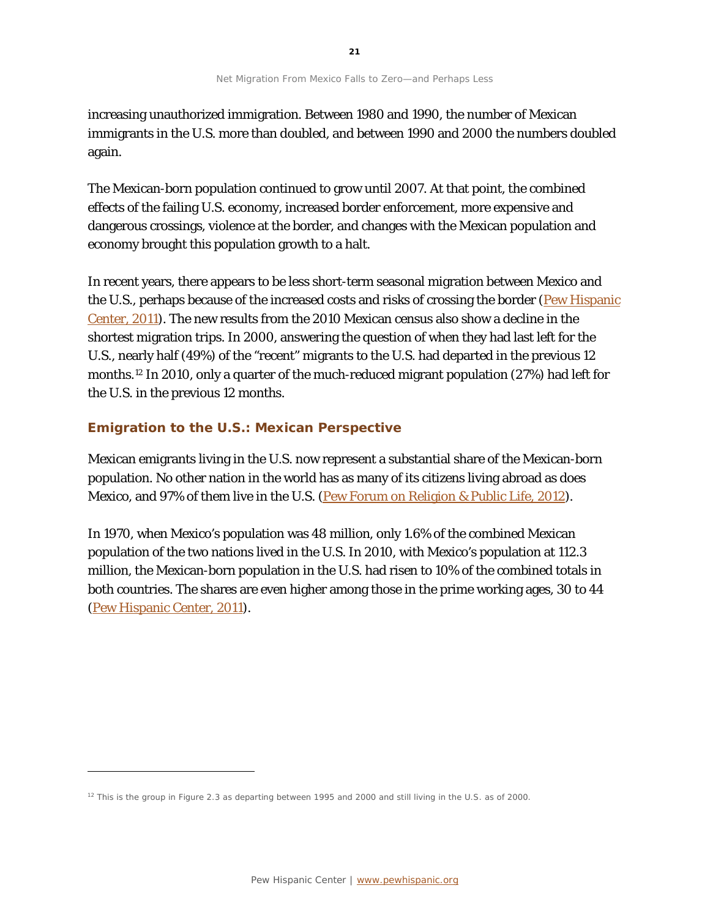increasing unauthorized immigration. Between 1980 and 1990, the number of Mexican immigrants in the U.S. more than doubled, and between 1990 and 2000 the numbers doubled again.

The Mexican-born population continued to grow until 2007. At that point, the combined effects of the failing U.S. economy, increased border enforcement, more expensive and dangerous crossings, violence at the border, and changes with the Mexican population and economy brought this population growth to a halt.

In recent years, there appears to be less short-term seasonal migration between Mexico and the U.S., perhaps because of the increased costs and risks of crossing the border (Pew Hispanic [Center, 2011\)](http://www.pewhispanic.org/2011/07/14/the-mexican-american-boom-brbirths-overtake-immigration/). The new results from the 2010 Mexican census also show a decline in the shortest migration trips. In 2000, answering the question of when they had last left for the U.S., nearly half (49%) of the "recent" migrants to the U.S. had departed in the previous 12 months.[12](#page-21-0) In 2010, only a quarter of the much-reduced migrant population (27%) had left for the U.S. in the previous 12 months.

## **Emigration to the U.S.: Mexican Perspective**

1

Mexican emigrants living in the U.S. now represent a substantial share of the Mexican-born population. No other nation in the world has as many of its citizens living abroad as does Mexico, and 97% of them live in the U.S. (Pew Forum [on Religion & Public Life, 2012\)](http://www.pewforum.org/Geography/Religious-Migration.aspx).

In 1970, when Mexico's population was 48 million, only 1.6% of the combined Mexican population of the two nations lived in the U.S. In 2010, with Mexico's population at 112.3 million, the Mexican-born population in the U.S. had risen to 10% of the combined totals in both countries. The shares are even higher among those in the prime working ages, 30 to 44 [\(Pew Hispanic Center,](http://www.pewhispanic.org/2011/07/14/the-mexican-american-boom-brbirths-overtake-immigration/) 2011).

<span id="page-21-0"></span><sup>&</sup>lt;sup>12</sup> This is the group in Figure 2.3 as departing between 1995 and 2000 and still living in the U.S. as of 2000.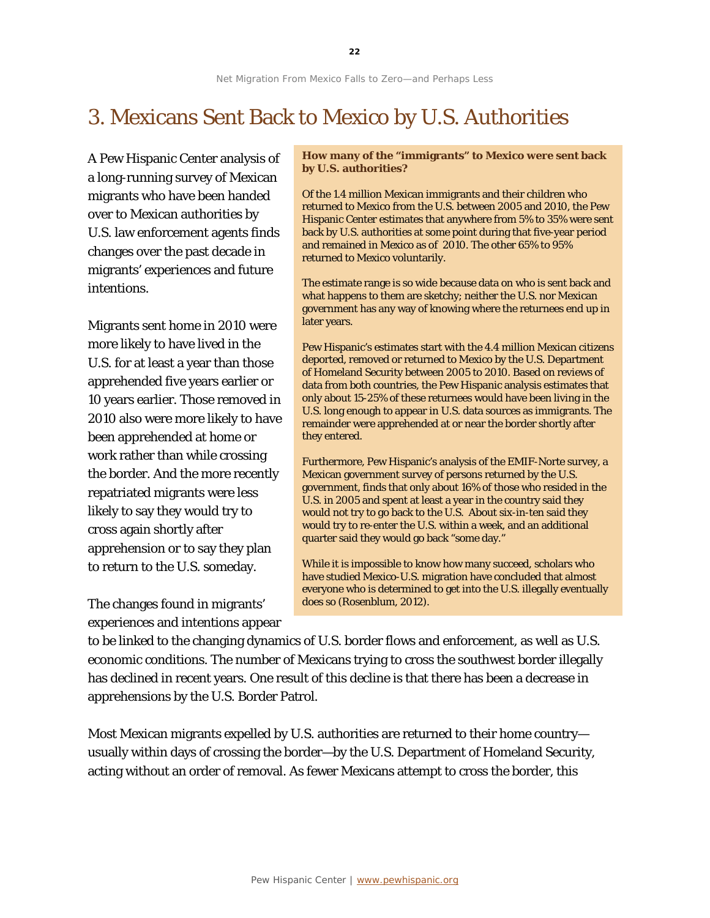## 3. Mexicans Sent Back to Mexico by U.S. Authorities

A Pew Hispanic Center analysis of a long-running survey of Mexican migrants who have been handed over to Mexican authorities by U.S. law enforcement agents finds changes over the past decade in migrants' experiences and future intentions.

Migrants sent home in 2010 were more likely to have lived in the U.S. for at least a year than those apprehended five years earlier or 10 years earlier. Those removed in 2010 also were more likely to have been apprehended at home or work rather than while crossing the border. And the more recently repatriated migrants were less likely to say they would try to cross again shortly after apprehension or to say they plan to return to the U.S. someday.

The changes found in migrants' experiences and intentions appear **How many of the "immigrants" to Mexico were sent back by U.S. authorities?**

Of the 1.4 million Mexican immigrants and their children who returned to Mexico from the U.S. between 2005 and 2010, the Pew Hispanic Center estimates that anywhere from 5% to 35% were sent back by U.S. authorities at some point during that five-year period and remained in Mexico as of 2010. The other 65% to 95% returned to Mexico voluntarily.

The estimate range is so wide because data on who is sent back and what happens to them are sketchy; neither the U.S. nor Mexican government has any way of knowing where the returnees end up in later years.

Pew Hispanic's estimates start with the 4.4 million Mexican citizens deported, removed or returned to Mexico by the U.S. Department of Homeland Security between 2005 to 2010. Based on reviews of data from both countries, the Pew Hispanic analysis estimates that only about 15-25% of these returnees would have been living in the U.S. long enough to appear in U.S. data sources as immigrants. The remainder were apprehended at or near the border shortly after they entered.

Furthermore, Pew Hispanic's analysis of the EMIF-Norte survey, a Mexican government survey of persons returned by the U.S. government, finds that only about 16% of those who resided in the U.S. in 2005 and spent at least a year in the country said they would not try to go back to the U.S. About six-in-ten said they would try to re-enter the U.S. within a week, and an additional quarter said they would go back "some day."

While it is impossible to know how many succeed, scholars who have studied Mexico-U.S. migration have concluded that almost everyone who is determined to get into the U.S. illegally eventually does so (Rosenblum, 2012).

to be linked to the changing dynamics of U.S. border flows and enforcement, as well as U.S. economic conditions. The number of Mexicans trying to cross the southwest border illegally has declined in recent years. One result of this decline is that there has been a decrease in apprehensions by the U.S. Border Patrol.

Most Mexican migrants expelled by U.S. authorities are returned to their home country usually within days of crossing the border—by the U.S. Department of Homeland Security, acting without an order of removal. As fewer Mexicans attempt to cross the border, this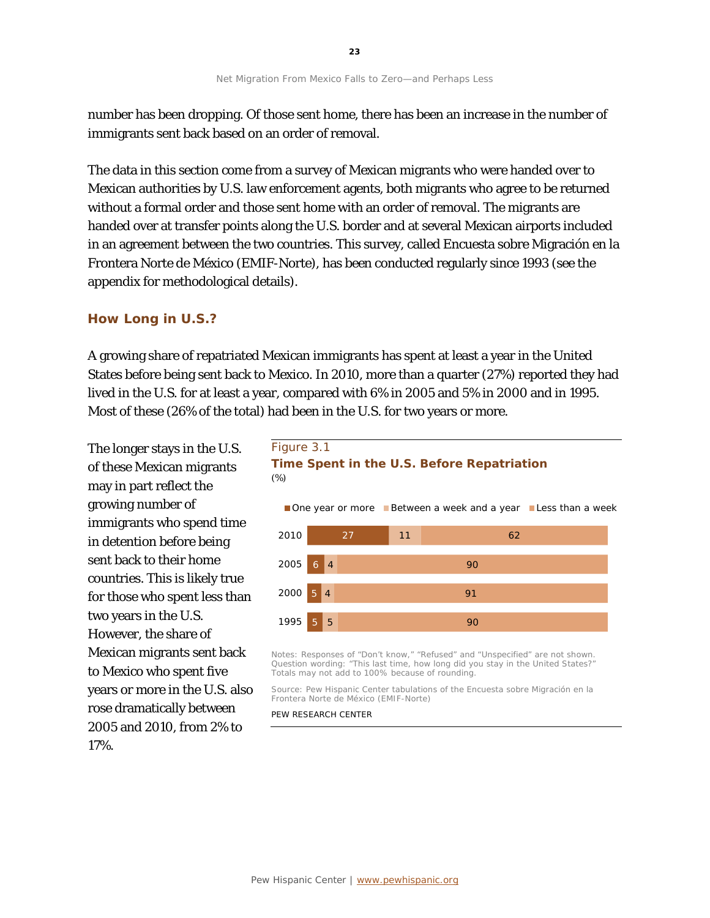number has been dropping. Of those sent home, there has been an increase in the number of immigrants sent back based on an order of removal.

The data in this section come from a survey of Mexican migrants who were handed over to Mexican authorities by U.S. law enforcement agents, both migrants who agree to be returned without a formal order and those sent home with an order of removal. The migrants are handed over at transfer points along the U.S. border and at several Mexican airports included in an agreement between the two countries. This survey, called Encuesta sobre Migración en la Frontera Norte de México (EMIF-Norte), has been conducted regularly since 1993 (see the appendix for methodological details).

#### **How Long in U.S.?**

A growing share of repatriated Mexican immigrants has spent at least a year in the United States before being sent back to Mexico. In 2010, more than a quarter (27%) reported they had lived in the U.S. for at least a year, compared with 6% in 2005 and 5% in 2000 and in 1995. Most of these (26% of the total) had been in the U.S. for two years or more.

The longer stays in the U.S. of these Mexican migrants may in part reflect the growing number of immigrants who spend time in detention before being sent back to their home countries. This is likely true for those who spent less than two years in the U.S. However, the share of Mexican migrants sent back to Mexico who spent five years or more in the U.S. also rose dramatically between 2005 and 2010, from 2% to 17%.





Notes: Responses of "Don't know," "Refused" and "Unspecified" are not shown. Question wording: "This last time, how long did you stay in the United States?" Totals may not add to 100% because of rounding.

Source: Pew Hispanic Center tabulations of the Encuesta sobre Migración en la Frontera Norte de México (EMIF-Norte)

#### PEW RESEARCH CENTER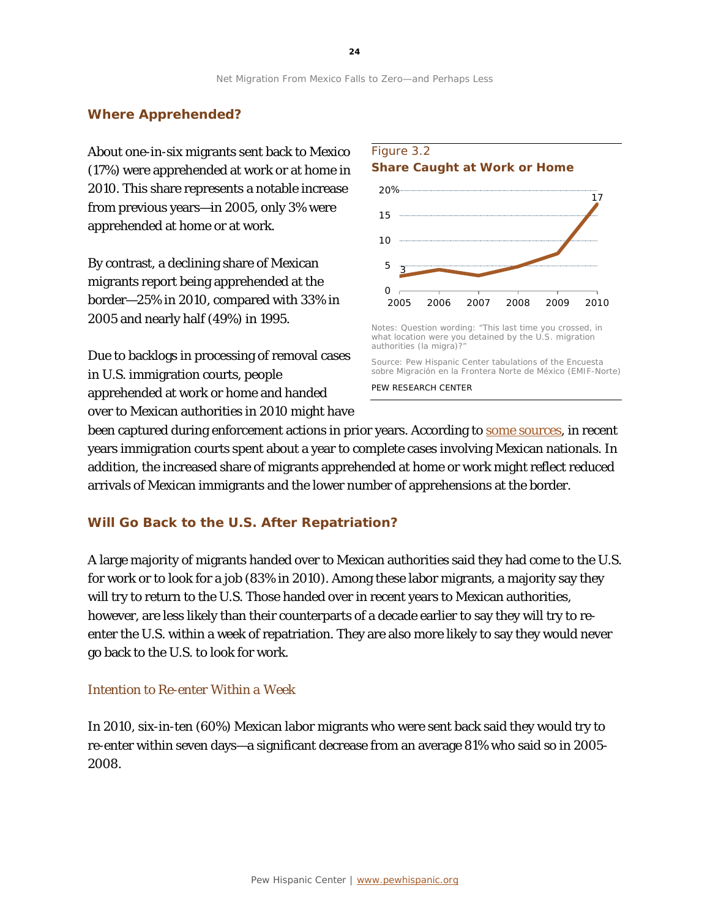### **Where Apprehended?**

About one-in-six migrants sent back to Mexico (17%) were apprehended at work or at home in 2010. This share represents a notable increase from previous years—in 2005, only 3% were apprehended at home or at work.

By contrast, a declining share of Mexican migrants report being apprehended at the border—25% in 2010, compared with 33% in 2005 and nearly half (49%) in 1995.

Due to backlogs in processing of removal cases in U.S. immigration courts, people apprehended at work or home and handed over to Mexican authorities in 2010 might have



#### Figure 3.2 **Share Caught at Work or Home**

what location were you detained by the U.S. migration authorities (la migra)?"

Source: Pew Hispanic Center tabulations of the Encuesta sobre Migración en la Frontera Norte de México (EMIF-Norte) PEW RESEARCH CENTER

been captured during enforcement actions in prior years. According to [some sources,](http://trac.syr.edu/phptools/immigration/court_backlog/) in recent years immigration courts spent about a year to complete cases involving Mexican nationals. In addition, the increased share of migrants apprehended at home or work might reflect reduced arrivals of Mexican immigrants and the lower number of apprehensions at the border.

#### **Will Go Back to the U.S. After Repatriation?**

A large majority of migrants handed over to Mexican authorities said they had come to the U.S. for work or to look for a job (83% in 2010). Among these labor migrants, a majority say they will try to return to the U.S. Those handed over in recent years to Mexican authorities, however, are less likely than their counterparts of a decade earlier to say they will try to reenter the U.S. within a week of repatriation. They are also more likely to say they would never go back to the U.S. to look for work.

#### *Intention to Re-enter Within a Week*

In 2010, six-in-ten (60%) Mexican labor migrants who were sent back said they would try to re-enter within seven days—a significant decrease from an average 81% who said so in 2005- 2008.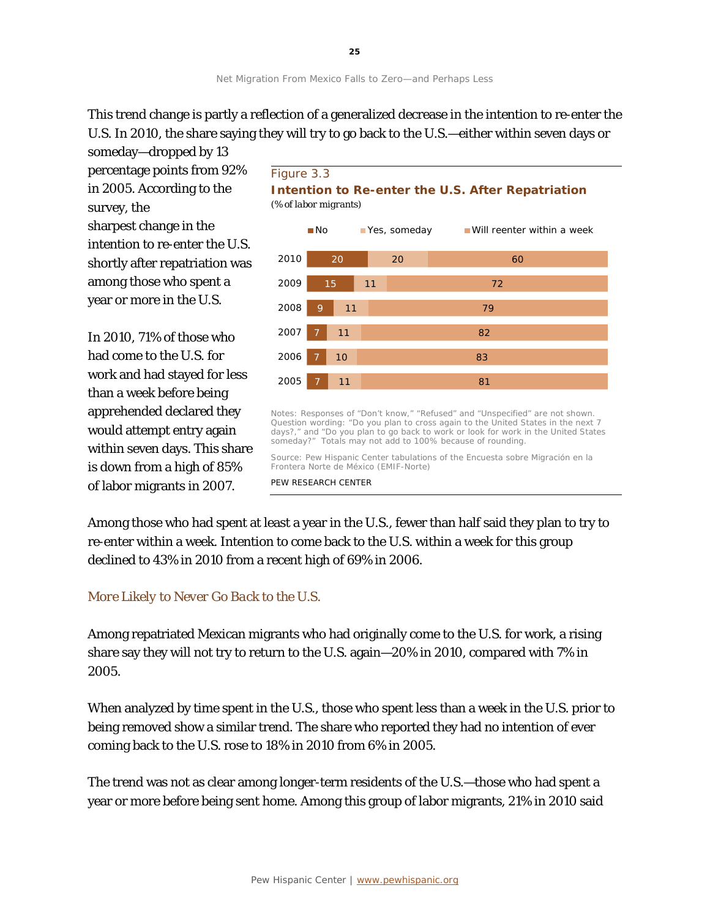This trend change is partly a reflection of a generalized decrease in the intention to re-enter the U.S. In 2010, the share saying they will try to go back to the U.S.—either within seven days or

someday—dropped by 13 percentage points from 92% in 2005. According to the survey, the sharpest change in the intention to re-enter the U.S. shortly after repatriation was among those who spent a year or more in the U.S.

In 2010, 71% of those who had come to the U.S. for work and had stayed for less than a week before being apprehended declared they would attempt entry again within seven days. This share is down from a high of 85% of labor migrants in 2007.





Notes: Responses of "Don't know," "Refused" and "Unspecified" are not shown. Question wording: "Do you plan to cross again to the United States in the next 7 days?," and "Do you plan to go back to work or look for work in the United States someday?" Totals may not add to 100% because of rounding.

Source: Pew Hispanic Center tabulations of the Encuesta sobre Migración en la Frontera Norte de México (EMIF-Norte)

PEW RESEARCH CENTER

Among those who had spent at least a year in the U.S., fewer than half said they plan to try to re-enter within a week. Intention to come back to the U.S. within a week for this group declined to 43% in 2010 from a recent high of 69% in 2006.

### *More Likely to Never Go Back to the U.S.*

Among repatriated Mexican migrants who had originally come to the U.S. for work, a rising share say they will not try to return to the U.S. again—20% in 2010, compared with 7% in 2005.

When analyzed by time spent in the U.S., those who spent less than a week in the U.S. prior to being removed show a similar trend. The share who reported they had no intention of ever coming back to the U.S. rose to 18% in 2010 from 6% in 2005.

The trend was not as clear among longer-term residents of the U.S.—those who had spent a year or more before being sent home. Among this group of labor migrants, 21% in 2010 said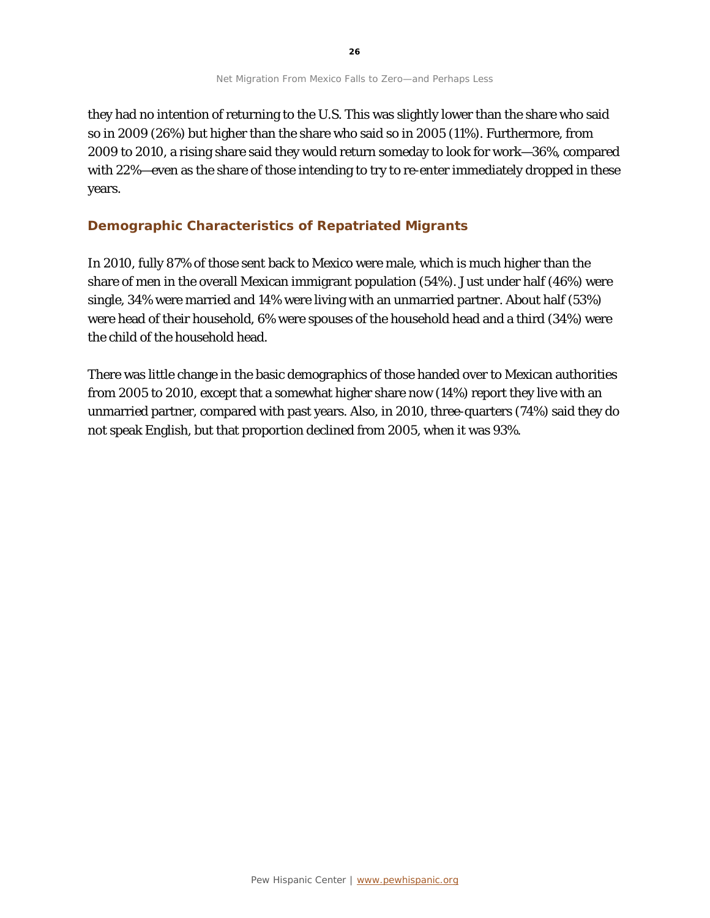they had no intention of returning to the U.S. This was slightly lower than the share who said so in 2009 (26%) but higher than the share who said so in 2005 (11%). Furthermore, from 2009 to 2010, a rising share said they would return someday to look for work—36%, compared with 22%—even as the share of those intending to try to re-enter immediately dropped in these years.

### **Demographic Characteristics of Repatriated Migrants**

In 2010, fully 87% of those sent back to Mexico were male, which is much higher than the share of men in the overall Mexican immigrant population (54%). Just under half (46%) were single, 34% were married and 14% were living with an unmarried partner. About half (53%) were head of their household, 6% were spouses of the household head and a third (34%) were the child of the household head.

There was little change in the basic demographics of those handed over to Mexican authorities from 2005 to 2010, except that a somewhat higher share now (14%) report they live with an unmarried partner, compared with past years. Also, in 2010, three-quarters (74%) said they do not speak English, but that proportion declined from 2005, when it was 93%.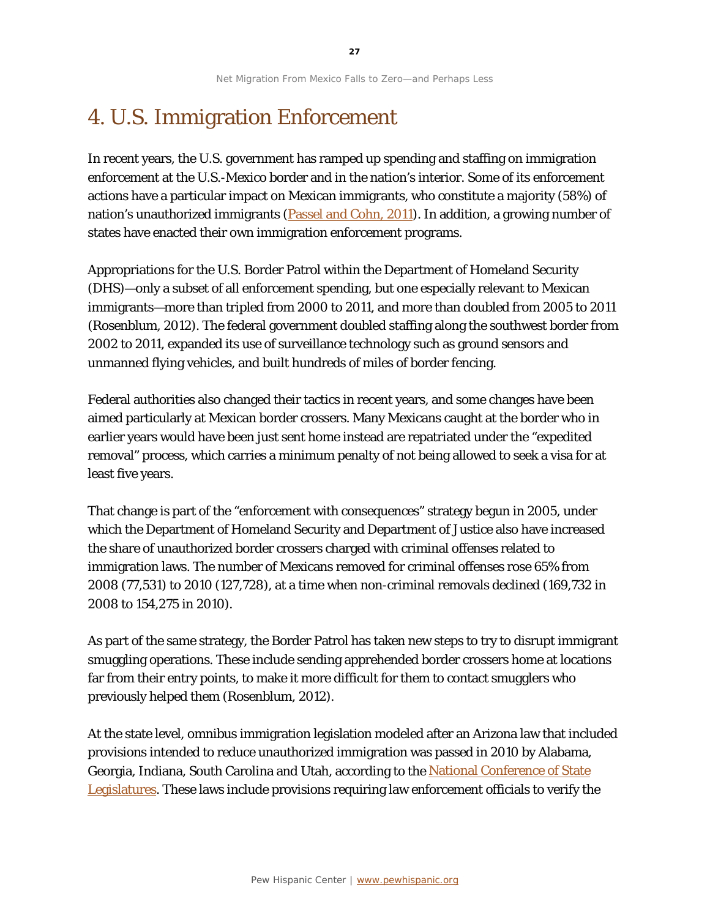## 4. U.S. Immigration Enforcement

In recent years, the U.S. government has ramped up spending and staffing on immigration enforcement at the U.S.-Mexico border and in the nation's interior. Some of its enforcement actions have a particular impact on Mexican immigrants, who constitute a majority (58%) of nation's unauthorized immigrants [\(Passel and Cohn, 2011\)](http://www.pewhispanic.org/2011/02/01/unauthorized-immigrant-population-brnational-and-state-trends-2010/). In addition, a growing number of states have enacted their own immigration enforcement programs.

Appropriations for the U.S. Border Patrol within the Department of Homeland Security (DHS)—only a subset of all enforcement spending, but one especially relevant to Mexican immigrants—more than tripled from 2000 to 2011, and more than doubled from 2005 to 2011 (Rosenblum, 2012). The federal government doubled staffing along the southwest border from 2002 to 2011, expanded its use of surveillance technology such as ground sensors and unmanned flying vehicles, and built hundreds of miles of border fencing.

Federal authorities also changed their tactics in recent years, and some changes have been aimed particularly at Mexican border crossers. Many Mexicans caught at the border who in earlier years would have been just sent home instead are repatriated under the "expedited removal" process, which carries a minimum penalty of not being allowed to seek a visa for at least five years.

That change is part of the "enforcement with consequences" strategy begun in 2005, under which the Department of Homeland Security and Department of Justice also have increased the share of unauthorized border crossers charged with criminal offenses related to immigration laws. The number of Mexicans removed for criminal offenses rose 65% from 2008 (77,531) to 2010 (127,728), at a time when non-criminal removals declined (169,732 in 2008 to 154,275 in 2010).

As part of the same strategy, the Border Patrol has taken new steps to try to disrupt immigrant smuggling operations. These include sending apprehended border crossers home at locations far from their entry points, to make it more difficult for them to contact smugglers who previously helped them (Rosenblum, 2012).

At the state level, omnibus immigration legislation modeled after an Arizona law that included provisions intended to reduce unauthorized immigration was passed in 2010 by Alabama, Georgia, Indiana, South Carolina and Utah, according to the National Conference of State [Legislatures.](http://www.ncsl.org/issues-research/immig/state-laws-related-to-immigration-and-immigrants.aspx) These laws include provisions requiring law enforcement officials to verify the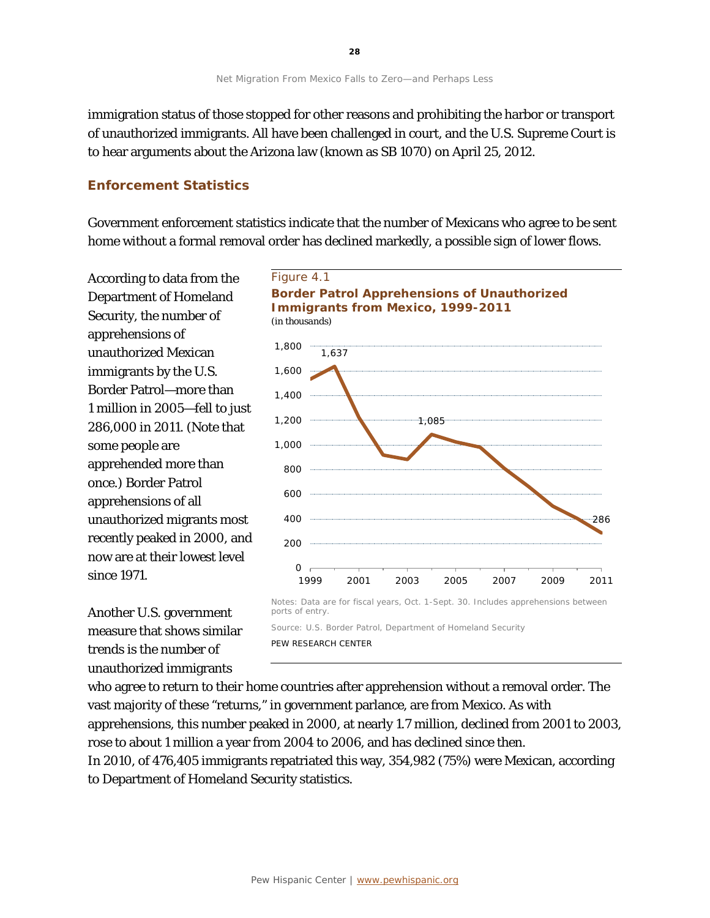immigration status of those stopped for other reasons and prohibiting the harbor or transport of unauthorized immigrants. All have been challenged in court, and the U.S. Supreme Court is to hear arguments about the Arizona law (known as SB 1070) on April 25, 2012.

## **Enforcement Statistics**

Government enforcement statistics indicate that the number of Mexicans who agree to be sent home without a formal removal order has declined markedly, a possible sign of lower flows.

According to data from the Department of Homeland Security, the number of apprehensions of unauthorized Mexican immigrants by the U.S. Border Patrol—more than 1 million in 2005—fell to just 286,000 in 2011. (Note that some people are apprehended more than once.) Border Patrol apprehensions of all unauthorized migrants most recently peaked in 2000, and now are at their lowest level since 1971.

Another U.S. government measure that shows similar trends is the number of unauthorized immigrants



Notes: Data are for fiscal years, Oct. 1-Sept. 30. Includes apprehensions between ports of entry.

Source: U.S. Border Patrol, Department of Homeland Security

PEW RESEARCH CENTER

who agree to return to their home countries after apprehension without a removal order. The vast majority of these "returns," in government parlance, are from Mexico. As with apprehensions, this number peaked in 2000, at nearly 1.7 million, declined from 2001 to 2003, rose to about 1 million a year from 2004 to 2006, and has declined since then.

In 2010, of 476,405 immigrants repatriated this way, 354,982 (75%) were Mexican, according to Department of Homeland Security statistics.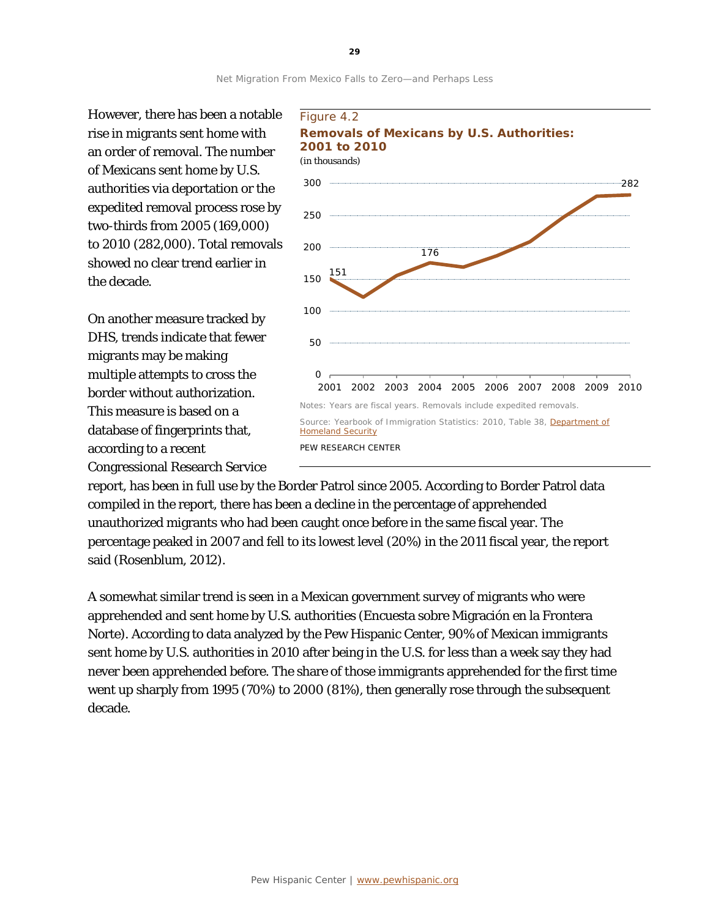However, there has been a notable rise in migrants sent home with an order of removal. The number of Mexicans sent home by U.S. authorities via deportation or the expedited removal process rose by two-thirds from 2005 (169,000) to 2010 (282,000). Total removals showed no clear trend earlier in the decade.

On another measure tracked by DHS, trends indicate that fewer migrants may be making multiple attempts to cross the border without authorization. This measure is based on a database of fingerprints that, according to a recent Congressional Research Service



report, has been in full use by the Border Patrol since 2005. According to Border Patrol data compiled in the report, there has been a decline in the percentage of apprehended unauthorized migrants who had been caught once before in the same fiscal year. The percentage peaked in 2007 and fell to its lowest level (20%) in the 2011 fiscal year, the report said (Rosenblum, 2012).

A somewhat similar trend is seen in a Mexican government survey of migrants who were apprehended and sent home by U.S. authorities (Encuesta sobre Migración en la Frontera Norte). According to data analyzed by the Pew Hispanic Center, 90% of Mexican immigrants sent home by U.S. authorities in 2010 after being in the U.S. for less than a week say they had never been apprehended before. The share of those immigrants apprehended for the first time went up sharply from 1995 (70%) to 2000 (81%), then generally rose through the subsequent decade.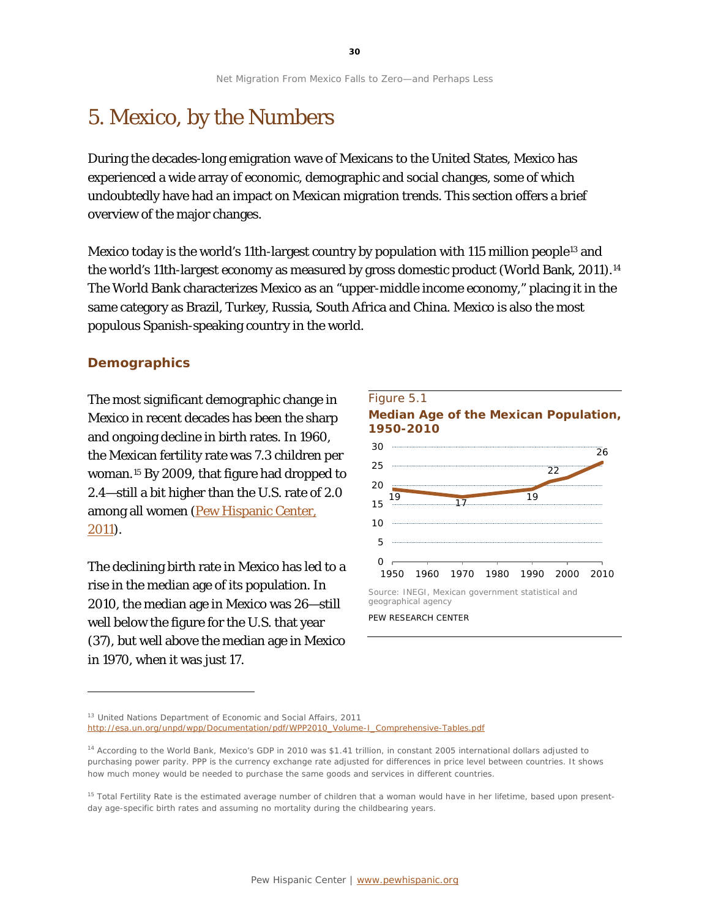## 5. Mexico, by the Numbers

During the decades-long emigration wave of Mexicans to the United States, Mexico has experienced a wide array of economic, demographic and social changes, some of which undoubtedly have had an impact on Mexican migration trends. This section offers a brief overview of the major changes.

Mexico today is the world's 11th-largest country by population with 115 million people<sup>[13](#page-30-0)</sup> and the world's 11th-largest economy as measured by gross domestic product (World Bank, 2011)[.14](#page-30-1) The World Bank characterizes Mexico as an "upper-middle income economy," placing it in the same category as Brazil, Turkey, Russia, South Africa and China. Mexico is also the most populous Spanish-speaking country in the world.

#### **Demographics**

1

The most significant demographic change in Mexico in recent decades has been the sharp and ongoing decline in birth rates. In 1960, the Mexican fertility rate was 7.3 children per woman.[15](#page-30-2) By 2009, that figure had dropped to 2.4—still a bit higher than the U.S. rate of 2.0 among all women [\(Pew Hispanic Center,](http://www.pewhispanic.org/2011/07/14/the-mexican-american-boom-brbirths-overtake-immigration)  [2011\)](http://www.pewhispanic.org/2011/07/14/the-mexican-american-boom-brbirths-overtake-immigration).

The declining birth rate in Mexico has led to a rise in the median age of its population. In 2010, the median age in Mexico was 26—still well below the figure for the U.S. that year (37), but well above the median age in Mexico in 1970, when it was just 17.



PEW RESEARCH CENTER

<span id="page-30-0"></span><sup>13</sup> [United Nations Department of Economic and Social Affairs, 2011](http://esa.un.org/unpd/wpp/Documentation/pdf/WPP2010_Volume-I_Comprehensive-Tables.pdf)

[http://esa.un.org/unpd/wpp/Documentation/pdf/WPP2010\\_Volume-I\\_Comprehensive-Tables.pdf](http://esa.un.org/unpd/wpp/Documentation/pdf/WPP2010_Volume-I_Comprehensive-Tables.pdf)

<span id="page-30-1"></span><sup>14</sup> According to the World Bank, Mexico's GDP in 2010 was \$1.41 trillion, in constant 2005 international dollars adjusted to purchasing power parity. PPP is the currency exchange rate adjusted for differences in price level between countries. It shows how much money would be needed to purchase the same goods and services in different countries.

<span id="page-30-2"></span><sup>&</sup>lt;sup>15</sup> Total Fertility Rate is the estimated average number of children that a woman would have in her lifetime, based upon presentday age-specific birth rates and assuming no mortality during the childbearing years.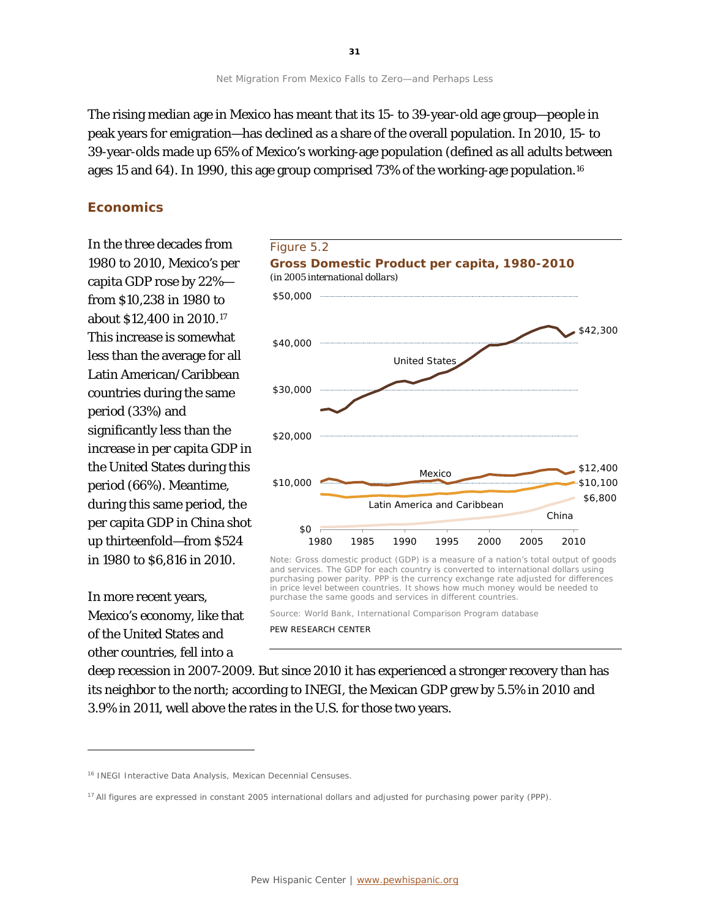The rising median age in Mexico has meant that its 15- to 39-year-old age group—people in peak years for emigration—has declined as a share of the overall population. In 2010, 15- to 39-year-olds made up 65% of Mexico's working-age population (defined as all adults between ages 15 and 64). In 1990, this age group comprised 73% of the working-age population.[16](#page-31-0)

#### **Economics**

In the three decades from 1980 to 2010, Mexico's per capita GDP rose by 22% from \$10,238 in 1980 to about \$12,400 in 2010.[17](#page-31-1) This increase is somewhat less than the average for all Latin American/Caribbean countries during the same period (33%) and significantly less than the increase in per capita GDP in the United States during this period (66%). Meantime, during this same period, the per capita GDP in China shot up thirteenfold—from \$524 in 1980 to \$6,816 in 2010.

In more recent years, Mexico's economy, like that of the United States and other countries, fell into a

l



Note: Gross domestic product (GDP) is a measure of a nation's total output of goods and services. The GDP for each country is converted to international dollars using purchasing power parity. PPP is the currency exchange rate adjusted for differences in price level between countries. It shows how much money would be needed to purchase the same goods and services in different countries.

Source: World Bank, International Comparison Program database

PEW RESEARCH CENTER

deep recession in 2007-2009. But since 2010 it has experienced a stronger recovery than has its neighbor to the north; according to INEGI, the Mexican GDP grew by 5.5% in 2010 and 3.9% in 2011, well above the rates in the U.S. for those two years.

<span id="page-31-0"></span><sup>&</sup>lt;sup>16</sup> INEGI Interactive Data Analysis, Mexican Decennial Censuses.

<span id="page-31-1"></span><sup>&</sup>lt;sup>17</sup> All figures are expressed in constant 2005 international dollars and adjusted for purchasing power parity (PPP).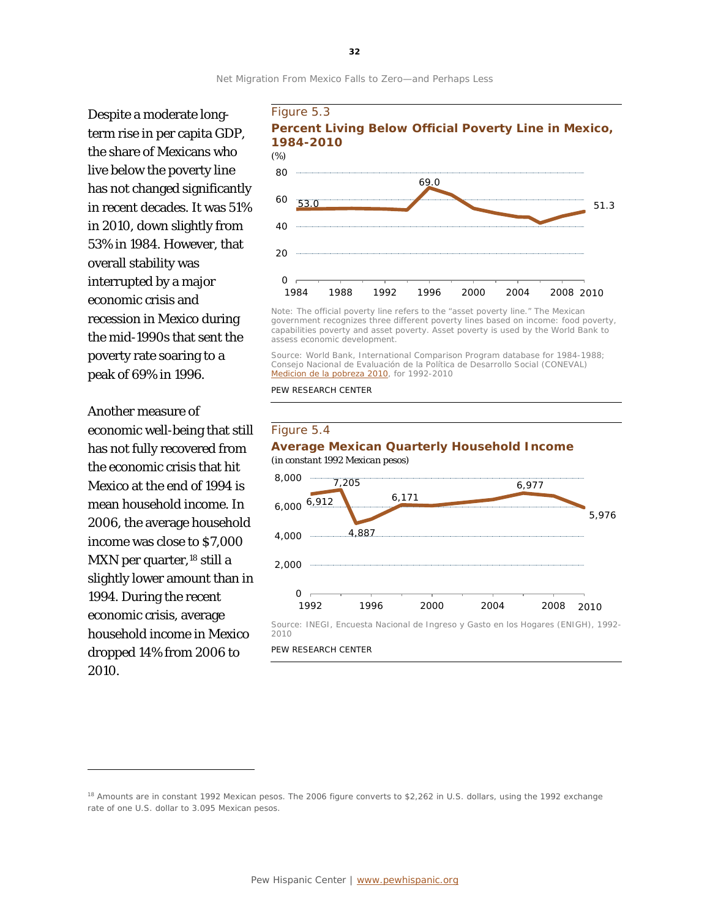

Despite a moderate longterm rise in per capita GDP, the share of Mexicans who live below the poverty line has not changed significantly in recent decades. It was 51% in 2010, down slightly from 53% in 1984. However, that overall stability was interrupted by a major economic crisis and recession in Mexico during the mid-1990s that sent the poverty rate soaring to a peak of 69% in 1996.

Another measure of economic well-being that still has not fully recovered from the economic crisis that hit Mexico at the end of 1994 is mean household income. In 2006, the average household income was close to \$7,000 MXN per quarter,<sup>[18](#page-32-0)</sup> still a slightly lower amount than in 1994. During the recent economic crisis, average household income in Mexico dropped 14% from 2006 to 2010.

1



Note: The official poverty line refers to the "asset poverty line." The Mexican government recognizes three different poverty lines based on income: food poverty, capabilities poverty and asset poverty. Asset poverty is used by the World Bank to assess economic development.

Source: World Bank, International Comparison Program database for 1984-1988; Consejo Nacional de Evaluación de la Política de Desarrollo Social (CONEVAL) *[Medicion de la pobreza 2010](http://web.coneval.gob.mx/Informes/Interactivo/Medicion_pobreza_2010.pdf)*, for 1992-2010

PEW RESEARCH CENTER

#### 6,000 <sup>6,912</sup> 7,205 4,887 6,171 6,977 5,976 4,000 8,000 Figure 5.4 **Average Mexican Quarterly Household Income**  *(in constant 1992 Mexican pesos)*

 $O<sub>0</sub>$ 1992 1996 2000 2004 2008 2010

Source: INEGI, Encuesta Nacional de Ingreso y Gasto en los Hogares (ENIGH), 1992- 2010

2,000

PEW RESEARCH CENTER

<span id="page-32-0"></span><sup>&</sup>lt;sup>18</sup> Amounts are in constant 1992 Mexican pesos. The 2006 figure converts to \$2,262 in U.S. dollars, using the 1992 exchange rate of one U.S. dollar to 3.095 Mexican pesos.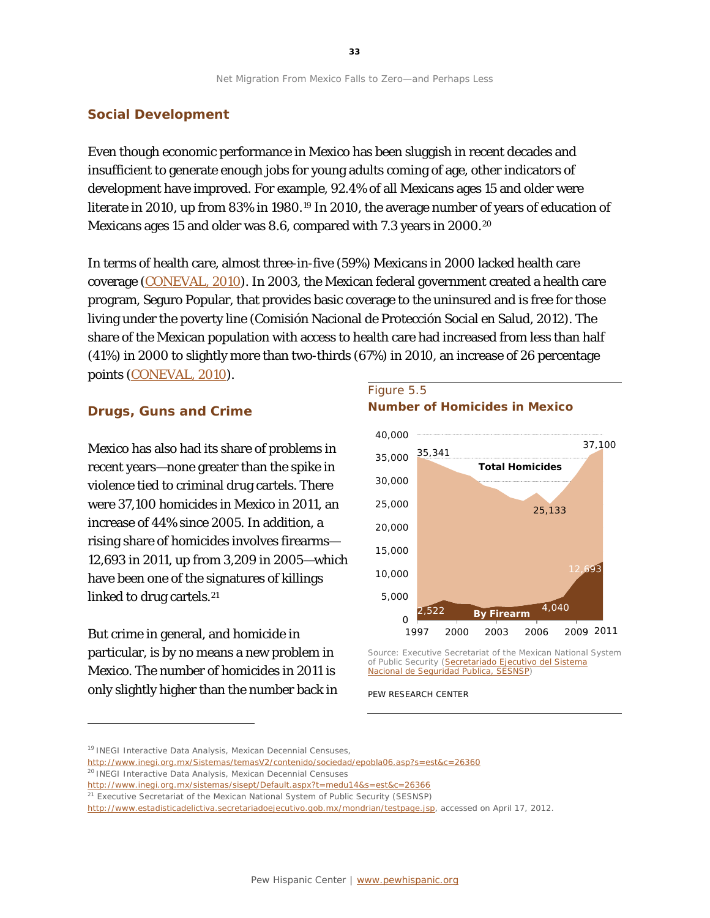#### **Social Development**

Even though economic performance in Mexico has been sluggish in recent decades and insufficient to generate enough jobs for young adults coming of age, other indicators of development have improved. For example, 92.4% of all Mexicans ages 15 and older were literate in 2010, up from 83% in [19](#page-33-0)80.<sup>19</sup> In 2010, the average number of years of education of Mexicans ages 15 and older was 8.6, compared with 7.3 years in [20](#page-33-1)00.<sup>20</sup>

In terms of health care, almost three-in-five (59%) Mexicans in 2000 lacked health care coverage [\(CONEVAL, 2010\)](http://www.coneval.gob.mx/cmsconeval/rw/resource/coneval/med_pobreza/Acceso%20a%20los%20servicios%20de%20salud%20Censo%202010/Carencia_a_los_servicios_de_salud_2010.pdf?view=true). In 2003, the Mexican federal government created a health care program, Seguro Popular, that provides basic coverage to the uninsured and is free for those living under the poverty line (Comisión Nacional de Protección Social en Salud, 2012). The share of the Mexican population with access to health care had increased from less than half (41%) in 2000 to slightly more than two-thirds (67%) in 2010, an increase of 26 percentage points [\(CONEVAL, 2010\)](http://www.coneval.gob.mx/cmsconeval/rw/resource/coneval/med_pobreza/Acceso%20a%20los%20servicios%20de%20salud%20Censo%202010/Carencia_a_los_servicios_de_salud_2010.pdf?view=true).

#### **Drugs, Guns and Crime**

Mexico has also had its share of problems in recent years—none greater than the spike in violence tied to criminal drug cartels. There were 37,100 homicides in Mexico in 2011, an increase of 44% since 2005. In addition, a rising share of homicides involves firearms— 12,693 in 2011, up from 3,209 in 2005—which have been one of the signatures of killings linked to drug cartels.<sup>[21](#page-33-2)</sup>

But crime in general, and homicide in particular, is by no means a new problem in Mexico. The number of homicides in 2011 is only slightly higher than the number back in

l

#### Figure 5.5 **Number of Homicides in Mexico**



Source: Executive Secretariat of the Mexican National System of Public Security (Secretariado Ejecutivo del Sistema [Nacional de Seguridad Publica, SESNSP\)](http://www.estadisticadelictiva.secretariadoejecutivo.gob.mx/mondrian/testpage.jsp)

PEW RESEARCH CENTER

<span id="page-33-0"></span><sup>&</sup>lt;sup>19</sup> INEGI Interactive Data Analysis, Mexican Decennial Censuses,

<http://www.inegi.org.mx/Sistemas/temasV2/contenido/sociedad/epobla06.asp?s=est&c=26360>

<span id="page-33-1"></span><sup>&</sup>lt;sup>20</sup> INEGI Interactive Data Analysis, Mexican Decennial Censuses

<http://www.inegi.org.mx/sistemas/sisept/Default.aspx?t=medu14&s=est&c=26366>

<span id="page-33-2"></span><sup>&</sup>lt;sup>21</sup> Executive Secretariat of the Mexican National System of Public Security (SESNSP)

[http://www.estadisticadelictiva.secretariadoejecutivo.gob.mx/mondrian/testpage.jsp,](http://www.estadisticadelictiva.secretariadoejecutivo.gob.mx/mondrian/testpage.jsp) accessed on April 17, 2012.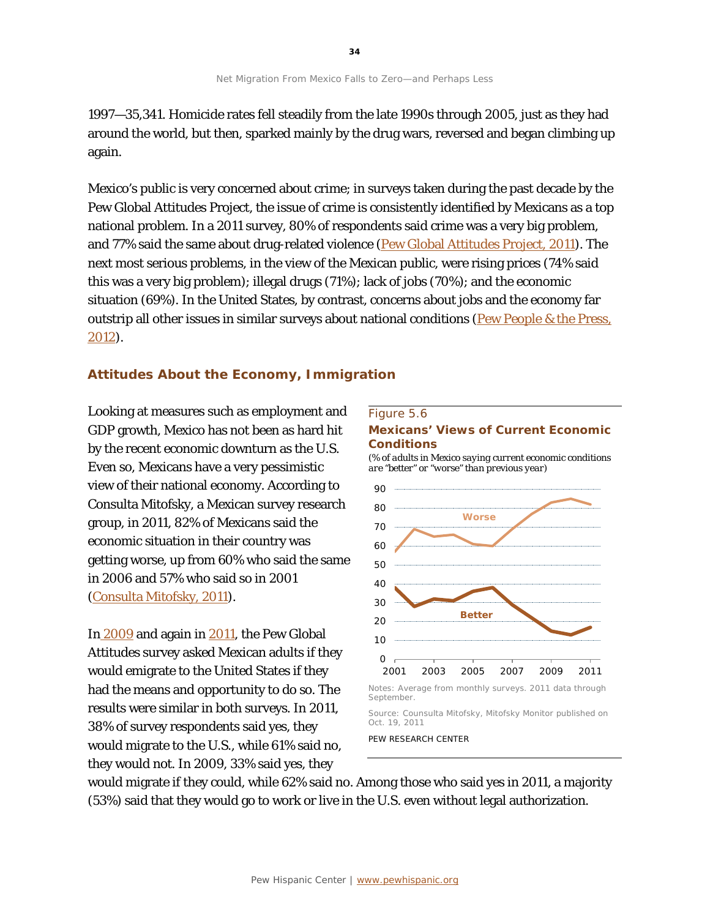1997—35,341. Homicide rates fell steadily from the late 1990s through 2005, just as they had around the world, but then, sparked mainly by the drug wars, reversed and began climbing up again.

Mexico's public is very concerned about crime; in surveys taken during the past decade by the Pew Global Attitudes Project, the issue of crime is consistently identified by Mexicans as a top national problem. In a 2011 survey, 80% of respondents said crime was a very big problem, and 77% said the same about drug-related violence [\(Pew Global Attitudes Project, 2011\)](http://www.pewglobal.org/2011/08/31/crime-and-drug-cartels-top-concerns-in-mexico/). The next most serious problems, in the view of the Mexican public, were rising prices (74% said this was a very big problem); illegal drugs (71%); lack of jobs (70%); and the economic situation (69%). In the United States, by contrast, concerns about jobs and the economy far outstrip all other issues in similar surveys about national conditions (Pew People & the Press, [2012\)](http://www.people-press.org/2012/01/23/public-priorities-deficit-rising-terrorism-slipping/).

#### **Attitudes About the Economy, Immigration**

Looking at measures such as employment and GDP growth, Mexico has not been as hard hit by the recent economic downturn as the U.S. Even so, Mexicans have a very pessimistic view of their national economy. According to Consulta Mitofsky, a Mexican survey research group, in 2011, 82% of Mexicans said the economic situation in their country was getting worse, up from 60% who said the same in 2006 and 57% who said so in 2001 [\(Consulta Mitofsky, 2011\)](http://consulta.mx/web/images/mexicoopinapdf/EPG_S.pdf).

I[n](http://www.pewglobal.org/2009/07/23/confidence-in-obama-lifts-us-image-around-the-world/) [2009](http://www.pewglobal.org/2009/07/23/confidence-in-obama-lifts-us-image-around-the-world/) and again in [2011,](http://www.pewglobal.org/2011/08/31/crime-and-drug-cartels-top-concerns-in-mexico/) the Pew Global Attitudes survey asked Mexican adults if they would emigrate to the United States if they had the means and opportunity to do so. The results were similar in both surveys. In 2011, 38% of survey respondents said yes, they would migrate to the U.S., while 61% said no, they would not. In 2009, 33% said yes, they

#### Figure 5.6

#### **Mexicans' Views of Current Economic Conditions**

*(% of adults in Mexico saying current economic conditions are "better" or "worse" than previous year)*



PEW RESEARCH CENTER

would migrate if they could, while 62% said no. Among those who said yes in 2011, a majority (53%) said that they would go to work or live in the U.S. even without legal authorization.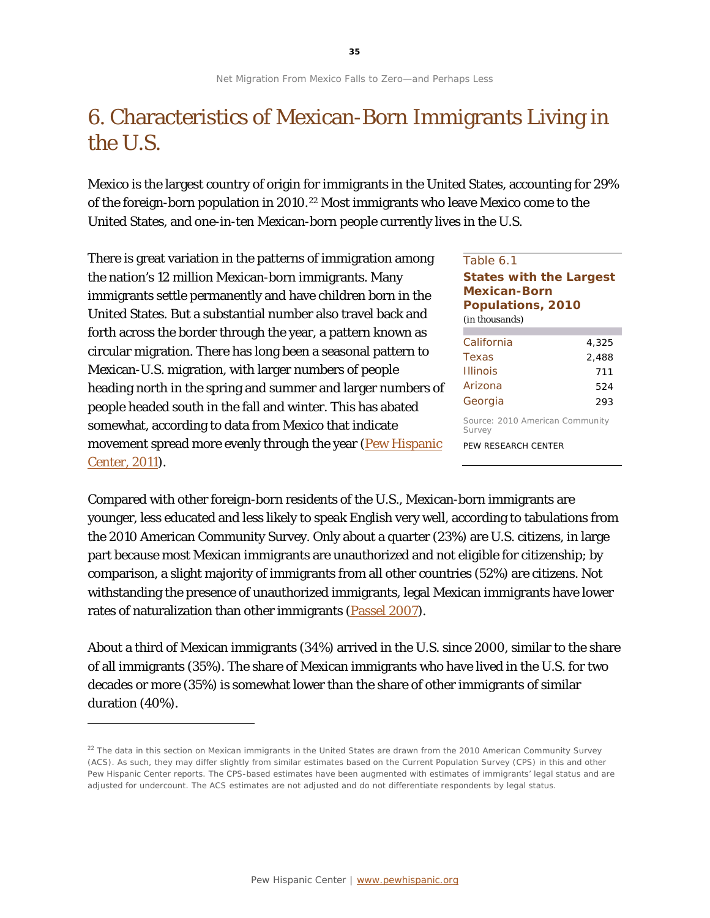## 6. Characteristics of Mexican-Born Immigrants Living in the U.S.

Mexico is the largest country of origin for immigrants in the United States, accounting for 29% of the foreign-born population in 2010.[22](#page-35-0) Most immigrants who leave Mexico come to the United States, and one-in-ten Mexican-born people currently lives in the U.S.

There is great variation in the patterns of immigration among the nation's 12 million Mexican-born immigrants. Many immigrants settle permanently and have children born in the United States. But a substantial number also travel back and forth across the border through the year, a pattern known as circular migration. There has long been a seasonal pattern to Mexican-U.S. migration, with larger numbers of people heading north in the spring and summer and larger numbers of people headed south in the fall and winter. This has abated somewhat, according to data from Mexico that indicate movement spread more evenly through the year (Pew Hispanic [Center, 2011\)](http://www.pewhispanic.org/2011/07/14/the-mexican-american-boom-brbirths-overtake-immigration/).

1

#### Table 6.1 **States with the Largest Mexican-Born Populations, 2010** *(in thousands)*

| California                      | 4,325 |
|---------------------------------|-------|
| Texas                           | 2.488 |
| <b>Illinois</b>                 | 711   |
| Arizona                         | 524   |
| Georgia                         | 293   |
| Source: 2010 American Community |       |

Source: 2010 American Community Survey

PEW RESEARCH CENTER

Compared with other foreign-born residents of the U.S., Mexican-born immigrants are younger, less educated and less likely to speak English very well, according to tabulations from the 2010 American Community Survey. Only about a quarter (23%) are U.S. citizens, in large part because most Mexican immigrants are unauthorized and not eligible for citizenship; by comparison, a slight majority of immigrants from all other countries (52%) are citizens. Not withstanding the presence of unauthorized immigrants, legal Mexican immigrants have lower rates of naturalization than other immigrants [\(Passel 2007\)](http://www.pewhispanic.org/2007/03/28/growing-share-of-immigrants-choosing-naturalization/).

About a third of Mexican immigrants (34%) arrived in the U.S. since 2000, similar to the share of all immigrants (35%). The share of Mexican immigrants who have lived in the U.S. for two decades or more (35%) is somewhat lower than the share of other immigrants of similar duration (40%).

<span id="page-35-0"></span> $22$  The data in this section on Mexican immigrants in the United States are drawn from the 2010 American Community Survey (ACS). As such, they may differ slightly from similar estimates based on the Current Population Survey (CPS) in this and other Pew Hispanic Center reports. The CPS-based estimates have been augmented with estimates of immigrants' legal status and are adjusted for undercount. The ACS estimates are not adjusted and do not differentiate respondents by legal status.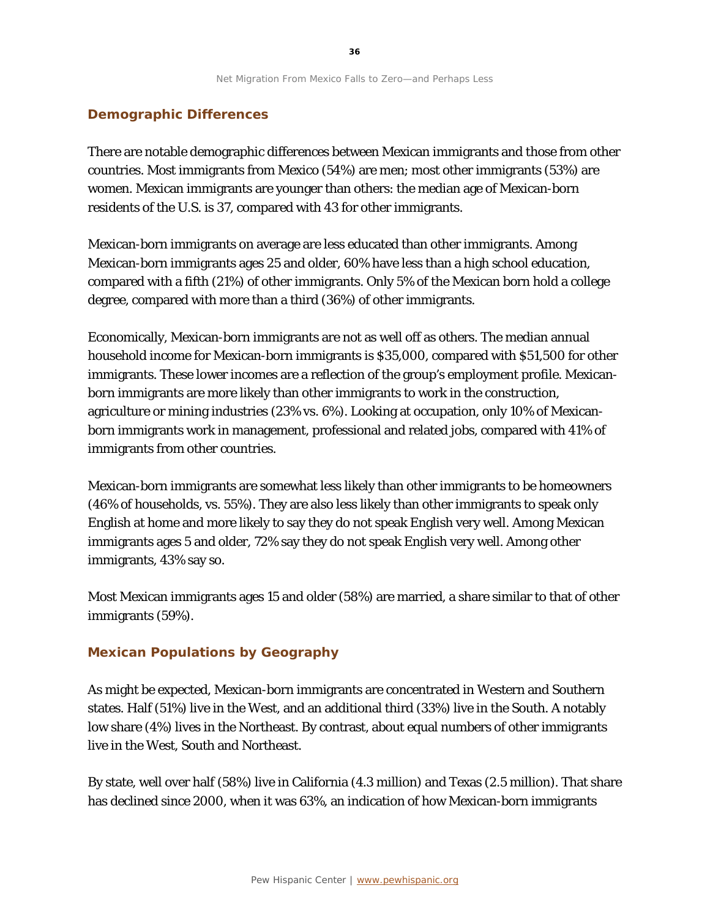#### **Demographic Differences**

There are notable demographic differences between Mexican immigrants and those from other countries. Most immigrants from Mexico (54%) are men; most other immigrants (53%) are women. Mexican immigrants are younger than others: the median age of Mexican-born residents of the U.S. is 37, compared with 43 for other immigrants.

Mexican-born immigrants on average are less educated than other immigrants. Among Mexican-born immigrants ages 25 and older, 60% have less than a high school education, compared with a fifth (21%) of other immigrants. Only 5% of the Mexican born hold a college degree, compared with more than a third (36%) of other immigrants.

Economically, Mexican-born immigrants are not as well off as others. The median annual household income for Mexican-born immigrants is \$35,000, compared with \$51,500 for other immigrants. These lower incomes are a reflection of the group's employment profile. Mexicanborn immigrants are more likely than other immigrants to work in the construction, agriculture or mining industries (23% vs. 6%). Looking at occupation, only 10% of Mexicanborn immigrants work in management, professional and related jobs, compared with 41% of immigrants from other countries.

Mexican-born immigrants are somewhat less likely than other immigrants to be homeowners (46% of households, vs. 55%). They are also less likely than other immigrants to speak only English at home and more likely to say they do not speak English very well. Among Mexican immigrants ages 5 and older, 72% say they do not speak English very well. Among other immigrants, 43% say so.

Most Mexican immigrants ages 15 and older (58%) are married, a share similar to that of other immigrants (59%).

#### **Mexican Populations by Geography**

As might be expected, Mexican-born immigrants are concentrated in Western and Southern states. Half (51%) live in the West, and an additional third (33%) live in the South. A notably low share (4%) lives in the Northeast. By contrast, about equal numbers of other immigrants live in the West, South and Northeast.

By state, well over half (58%) live in California (4.3 million) and Texas (2.5 million). That share has declined since 2000, when it was 63%, an indication of how Mexican-born immigrants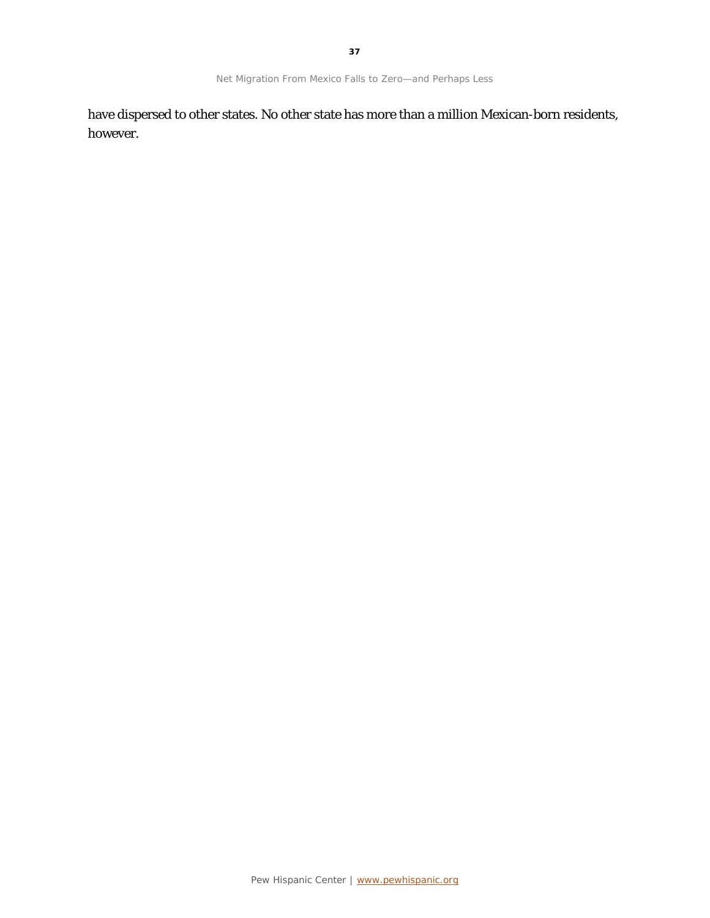have dispersed to other states. No other state has more than a million Mexican-born residents, however.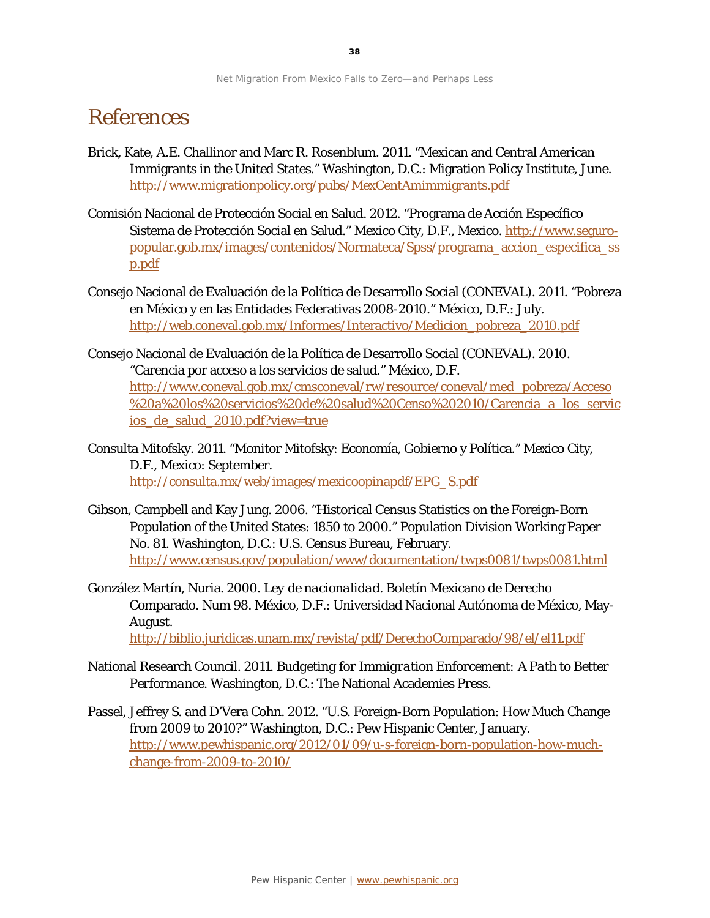## References

- Brick, Kate, A.E. Challinor and Marc R. Rosenblum. 2011. "Mexican and Central American Immigrants in the United States." Washington, D.C.: Migration Policy Institute, June. <http://www.migrationpolicy.org/pubs/MexCentAmimmigrants.pdf>
- Comisión Nacional de Protección Social en Salud. 2012. "Programa de Acción Específico Sistema de Protección Social en Salud." Mexico City, D.F., Mexico. [http://www.seguro](http://www.seguro-popular.gob.mx/images/contenidos/Normateca/Spss/programa_accion_especifica_ssp.pdf)[popular.gob.mx/images/contenidos/Normateca/Spss/programa\\_accion\\_especifica\\_ss](http://www.seguro-popular.gob.mx/images/contenidos/Normateca/Spss/programa_accion_especifica_ssp.pdf) [p.pdf](http://www.seguro-popular.gob.mx/images/contenidos/Normateca/Spss/programa_accion_especifica_ssp.pdf)
- Consejo Nacional de Evaluación de la Política de Desarrollo Social (CONEVAL). 2011. "Pobreza en México y en las Entidades Federativas 2008-2010." México, D.F.: July. [http://web.coneval.gob.mx/Informes/Interactivo/Medicion\\_pobreza\\_2010.pdf](http://web.coneval.gob.mx/Informes/Interactivo/Medicion_pobreza_2010.pdf)
- Consejo Nacional de Evaluación de la Política de Desarrollo Social (CONEVAL). 2010. "Carencia por acceso a los servicios de salud." México, D.F. [http://www.coneval.gob.mx/cmsconeval/rw/resource/coneval/med\\_pobreza/Acceso](http://www.coneval.gob.mx/cmsconeval/rw/resource/coneval/med_pobreza/Acceso%20a%20los%20servicios%20de%20salud%20Censo%202010/Carencia_a_los_servicios_de_salud_2010.pdf?view=true) [%20a%20los%20servicios%20de%20salud%20Censo%202010/Carencia\\_a\\_los\\_servic](http://www.coneval.gob.mx/cmsconeval/rw/resource/coneval/med_pobreza/Acceso%20a%20los%20servicios%20de%20salud%20Censo%202010/Carencia_a_los_servicios_de_salud_2010.pdf?view=true) [ios\\_de\\_salud\\_2010.pdf?view=true](http://www.coneval.gob.mx/cmsconeval/rw/resource/coneval/med_pobreza/Acceso%20a%20los%20servicios%20de%20salud%20Censo%202010/Carencia_a_los_servicios_de_salud_2010.pdf?view=true)
- Consulta Mitofsky. 2011. "Monitor Mitofsky: Economía, Gobierno y Política." Mexico City, D.F., Mexico: September. [http://consulta.mx/web/images/mexicoopinapdf/EPG\\_S.pdf](http://consulta.mx/web/images/mexicoopinapdf/EPG_S.pdf)
- Gibson, Campbell and Kay Jung. 2006. "Historical Census Statistics on the Foreign-Born Population of the United States: 1850 to 2000." Population Division Working Paper No. 81. Washington, D.C.: U.S. Census Bureau, February. <http://www.census.gov/population/www/documentation/twps0081/twps0081.html>
- González Martín, Nuria. 2000. *Ley de nacionalidad.* Boletín Mexicano de Derecho Comparado. Num 98. México, D.F.: Universidad Nacional Autónoma de México, May-August.

<http://biblio.juridicas.unam.mx/revista/pdf/DerechoComparado/98/el/el11.pdf>

- National Research Council. 2011. *Budgeting for Immigration Enforcement: A Path to Better Performance*. Washington, D.C.: The National Academies Press.
- Passel, Jeffrey S. and D'Vera Cohn. 2012. "U.S. Foreign-Born Population: How Much Change from 2009 to 2010?" Washington, D.C.: Pew Hispanic Center, January. [http://www.pewhispanic.org/2012/01/09/u-s-foreign-born-population-how-much](http://www.pewhispanic.org/2012/01/09/u-s-foreign-born-population-how-much-change-from-2009-to-2010/)[change-from-2009-to-2010/](http://www.pewhispanic.org/2012/01/09/u-s-foreign-born-population-how-much-change-from-2009-to-2010/)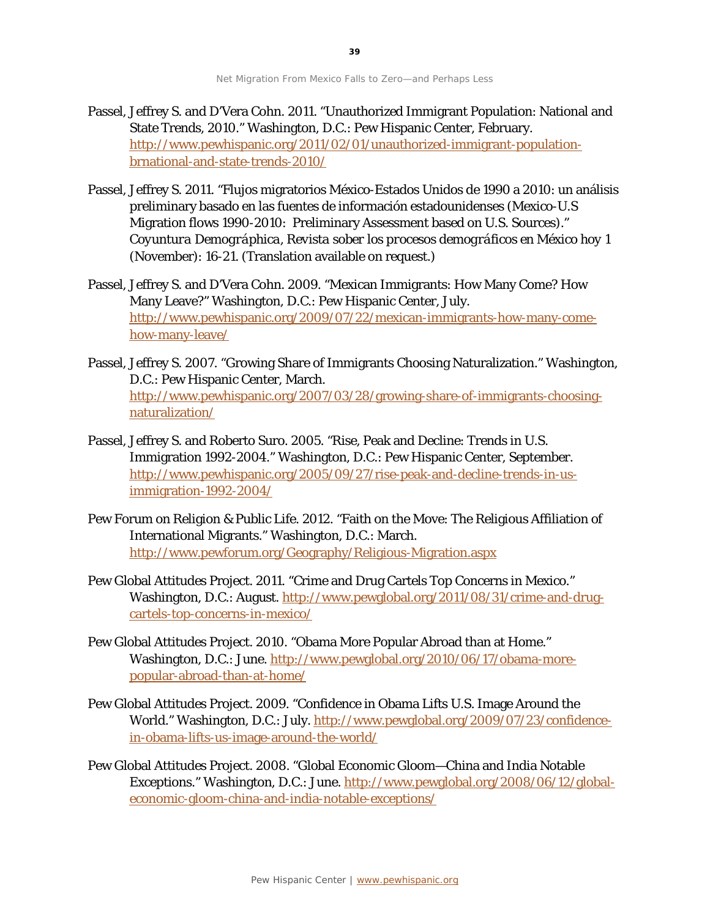- Passel, Jeffrey S. and D'Vera Cohn. 2011. "Unauthorized Immigrant Population: National and State Trends, 2010." Washington, D.C.: Pew Hispanic Center, February. [http://www.pewhispanic.org/2011/02/01/unauthorized-immigrant-population](http://www.pewhispanic.org/2011/02/01/unauthorized-immigrant-population-brnational-and-state-trends-2010/)[brnational-and-state-trends-2010/](http://www.pewhispanic.org/2011/02/01/unauthorized-immigrant-population-brnational-and-state-trends-2010/)
- Passel, Jeffrey S. 2011. "Flujos migratorios México-Estados Unidos de 1990 a 2010: un análisis preliminary basado en las fuentes de información estadounidenses (Mexico-U.S Migration flows 1990-2010: Preliminary Assessment based on U.S. Sources)." *Coyuntura Demográphica, Revista sober los procesos demográficos en México hoy* 1 (November): 16-21. (Translation available on request.)
- Passel, Jeffrey S. and D'Vera Cohn. 2009. "Mexican Immigrants: How Many Come? How Many Leave?" Washington, D.C.: Pew Hispanic Center, July. [http://www.pewhispanic.org/2009/07/22/mexican-immigrants-how-many-come](http://www.pewhispanic.org/2009/07/22/mexican-immigrants-how-many-come-how-many-leave/)[how-many-leave/](http://www.pewhispanic.org/2009/07/22/mexican-immigrants-how-many-come-how-many-leave/)
- Passel, Jeffrey S. 2007. "Growing Share of Immigrants Choosing Naturalization." Washington, D.C.: Pew Hispanic Center, March. [http://www.pewhispanic.org/2007/03/28/growing-share-of-immigrants-choosing](http://www.pewhispanic.org/2007/03/28/growing-share-of-immigrants-choosing-naturalization/)[naturalization/](http://www.pewhispanic.org/2007/03/28/growing-share-of-immigrants-choosing-naturalization/)
- Passel, Jeffrey S. and Roberto Suro. 2005. "Rise, Peak and Decline: Trends in U.S. Immigration 1992-2004." Washington, D.C.: Pew Hispanic Center, September. [http://www.pewhispanic.org/2005/09/27/rise-peak-and-decline-trends-in-us](http://www.pewhispanic.org/2005/09/27/rise-peak-and-decline-trends-in-us-immigration-1992-2004/)[immigration-1992-2004/](http://www.pewhispanic.org/2005/09/27/rise-peak-and-decline-trends-in-us-immigration-1992-2004/)
- Pew Forum on Religion & Public Life. 2012. "Faith on the Move: The Religious Affiliation of International Migrants." Washington, D.C.: March. <http://www.pewforum.org/Geography/Religious-Migration.aspx>
- Pew Global Attitudes Project. 2011. "Crime and Drug Cartels Top Concerns in Mexico." Washington, D.C.: August. [http://www.pewglobal.org/2011/08/31/crime-and-drug](http://www.pewglobal.org/2011/08/31/crime-and-drug-cartels-top-concerns-in-mexico/)[cartels-top-concerns-in-mexico/](http://www.pewglobal.org/2011/08/31/crime-and-drug-cartels-top-concerns-in-mexico/)
- Pew Global Attitudes Project. 2010. "Obama More Popular Abroad than at Home." Washington, D.C.: June. [http://www.pewglobal.org/2010/06/17/obama-more](http://www.pewglobal.org/2010/06/17/obama-more-popular-abroad-than-at-home/)[popular-abroad-than-at-home/](http://www.pewglobal.org/2010/06/17/obama-more-popular-abroad-than-at-home/)
- Pew Global Attitudes Project. 2009. "Confidence in Obama Lifts U.S. Image Around the World." Washington, D.C.: July. [http://www.pewglobal.org/2009/07/23/confidence](http://www.pewglobal.org/2009/07/23/confidence-in-obama-lifts-us-image-around-the-world/)[in-obama-lifts-us-image-around-the-world/](http://www.pewglobal.org/2009/07/23/confidence-in-obama-lifts-us-image-around-the-world/)
- Pew Global Attitudes Project. 2008. "Global Economic Gloom—China and India Notable Exceptions." Washington, D.C.: June[. http://www.pewglobal.org/2008/06/12/global](http://www.pewglobal.org/2008/06/12/global-economic-gloom-china-and-india-notable-exceptions/)[economic-gloom-china-and-india-notable-exceptions/](http://www.pewglobal.org/2008/06/12/global-economic-gloom-china-and-india-notable-exceptions/)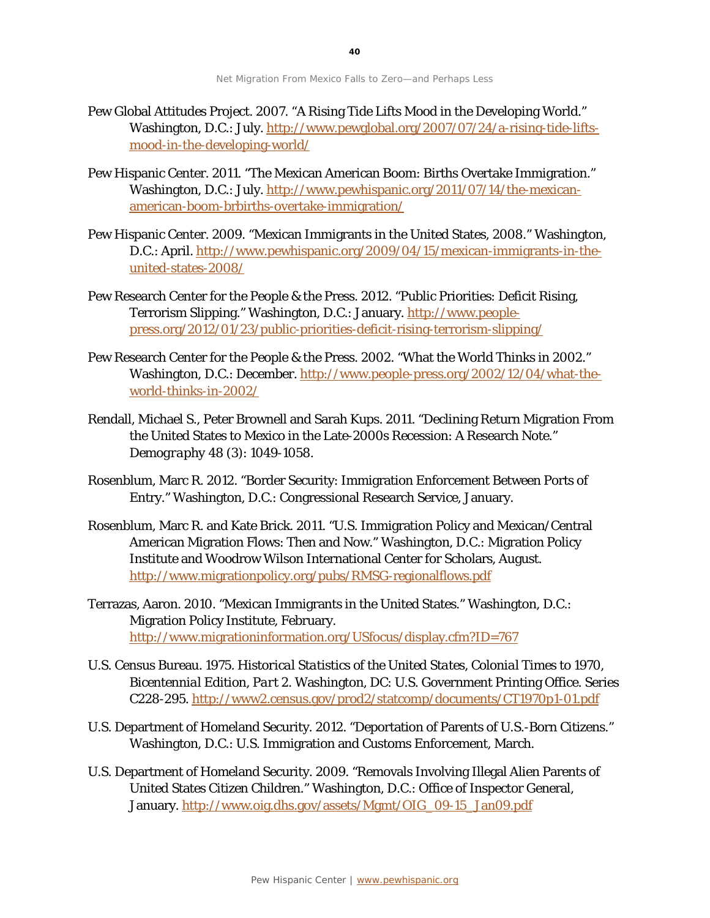- Pew Global Attitudes Project. 2007. "A Rising Tide Lifts Mood in the Developing World." Washington, D.C.: July[. http://www.pewglobal.org/2007/07/24/a-rising-tide-lifts](http://www.pewglobal.org/2007/07/24/a-rising-tide-lifts-mood-in-the-developing-world/)[mood-in-the-developing-world/](http://www.pewglobal.org/2007/07/24/a-rising-tide-lifts-mood-in-the-developing-world/)
- Pew Hispanic Center. 2011. "The Mexican American Boom: Births Overtake Immigration." Washington, D.C.: July[. http://www.pewhispanic.org/2011/07/14/the-mexican](http://www.pewhispanic.org/2011/07/14/the-mexican-american-boom-brbirths-overtake-immigration/)[american-boom-brbirths-overtake-immigration/](http://www.pewhispanic.org/2011/07/14/the-mexican-american-boom-brbirths-overtake-immigration/)
- Pew Hispanic Center. 2009. "Mexican Immigrants in the United States, 2008." Washington, D.C.: April. [http://www.pewhispanic.org/2009/04/15/mexican-immigrants-in-the](http://www.pewhispanic.org/2009/04/15/mexican-immigrants-in-the-united-states-2008/)[united-states-2008/](http://www.pewhispanic.org/2009/04/15/mexican-immigrants-in-the-united-states-2008/)
- Pew Research Center for the People & the Press. 2012. "Public Priorities: Deficit Rising, Terrorism Slipping." Washington, D.C.: January. [http://www.people](http://www.people-press.org/2012/01/23/public-priorities-deficit-rising-terrorism-slipping/)[press.org/2012/01/23/public-priorities-deficit-rising-terrorism-slipping/](http://www.people-press.org/2012/01/23/public-priorities-deficit-rising-terrorism-slipping/)
- Pew Research Center for the People & the Press. 2002. "What the World Thinks in 2002." Washington, D.C.: December[. http://www.people-press.org/2002/12/04/what-the](http://www.people-press.org/2002/12/04/what-the-world-thinks-in-2002/)[world-thinks-in-2002/](http://www.people-press.org/2002/12/04/what-the-world-thinks-in-2002/)
- Rendall, Michael S., Peter Brownell and Sarah Kups. 2011. "Declining Return Migration From the United States to Mexico in the Late-2000s Recession: A Research Note." *Demography* 48 (3): 1049-1058.
- Rosenblum, Marc R. 2012. "Border Security: Immigration Enforcement Between Ports of Entry." Washington, D.C.: Congressional Research Service, January.
- Rosenblum, Marc R. and Kate Brick. 2011. "U.S. Immigration Policy and Mexican/Central American Migration Flows: Then and Now." Washington, D.C.: Migration Policy Institute and Woodrow Wilson International Center for Scholars, August. <http://www.migrationpolicy.org/pubs/RMSG-regionalflows.pdf>
- Terrazas, Aaron. 2010. "Mexican Immigrants in the United States." Washington, D.C.: Migration Policy Institute, February. <http://www.migrationinformation.org/USfocus/display.cfm?ID=767>
- U.S. Census Bureau. 1975. *Historical Statistics of the United States, Colonial Times to 1970, Bicentennial Edition, Part 2.* Washington, DC: U.S. Government Printing Office. Series C228-295.<http://www2.census.gov/prod2/statcomp/documents/CT1970p1-01.pdf>
- U.S. Department of Homeland Security. 2012. "Deportation of Parents of U.S.-Born Citizens." Washington, D.C.: U.S. Immigration and Customs Enforcement, March.
- U.S. Department of Homeland Security. 2009. "Removals Involving Illegal Alien Parents of United States Citizen Children." Washington, D.C.: Office of Inspector General, January[. http://www.oig.dhs.gov/assets/Mgmt/OIG\\_09-15\\_Jan09.pdf](http://www.oig.dhs.gov/assets/Mgmt/OIG_09-15_Jan09.pdf)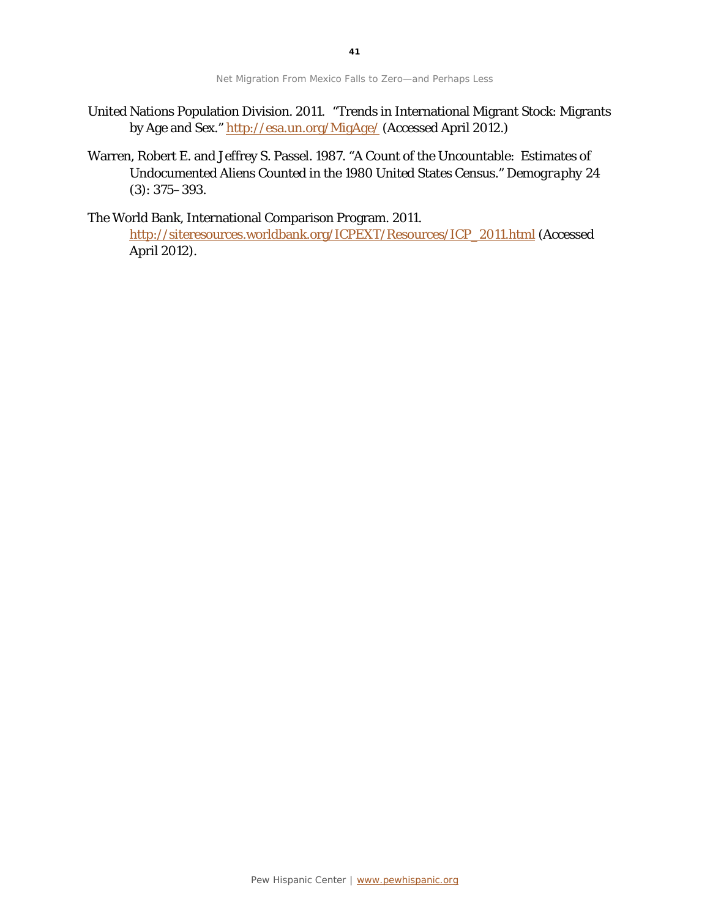- United Nations Population Division. 2011. "Trends in International Migrant Stock: Migrants by Age and Sex."<http://esa.un.org/MigAge/> (Accessed April 2012.)
- Warren, Robert E. and Jeffrey S. Passel. 1987. "A Count of the Uncountable: Estimates of Undocumented Aliens Counted in the 1980 United States Census." *Demography* 24 (3): 375–393.

The World Bank, International Comparison Program. 2011.

[http://siteresources.worldbank.org/ICPEXT/Resources/ICP\\_2011.html](http://siteresources.worldbank.org/ICPEXT/Resources/ICP_2011.html) (Accessed April 2012).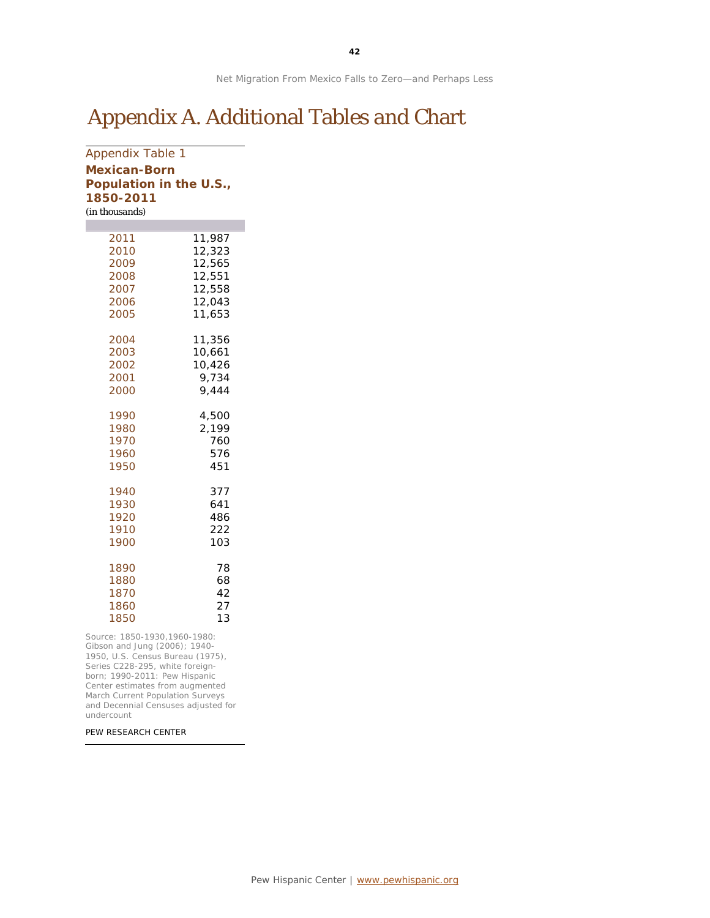## Appendix A. Additional Tables and Chart

### Appendix Table 1 **Mexican-Born Population in the U.S., 1850-2011** *(in thousands)*

| 2011 | 11,987 |
|------|--------|
| 2010 | 12,323 |
| 2009 | 12,565 |
| 2008 | 12,551 |
| 2007 | 12,558 |
| 2006 | 12,043 |
| 2005 | 11,653 |
| 2004 | 11,356 |
| 2003 | 10,661 |
| 2002 | 10,426 |
| 2001 | 9,734  |
| 2000 | 9,444  |
| 1990 | 4,500  |
| 1980 | 2,199  |
| 1970 | 760    |
| 1960 | 576    |
| 1950 | 451    |
| 1940 | 377    |
| 1930 | 641    |
| 1920 | 486    |
| 1910 | 222    |
| 1900 | 103    |
| 1890 | 78     |
| 1880 | 68     |
| 1870 | 42     |
| 1860 | 27     |
| 1850 | 13     |

Source: 1850-1930,1960-1980: Gibson and Jung (2006); 1940- 1950, U.S. Census Bureau (1975), Series C228-295, white foreignborn; 1990-2011: Pew Hispanic Center estimates from augmented March Current Population Surveys and Decennial Censuses adjusted for undercount

PEW RESEARCH CENTER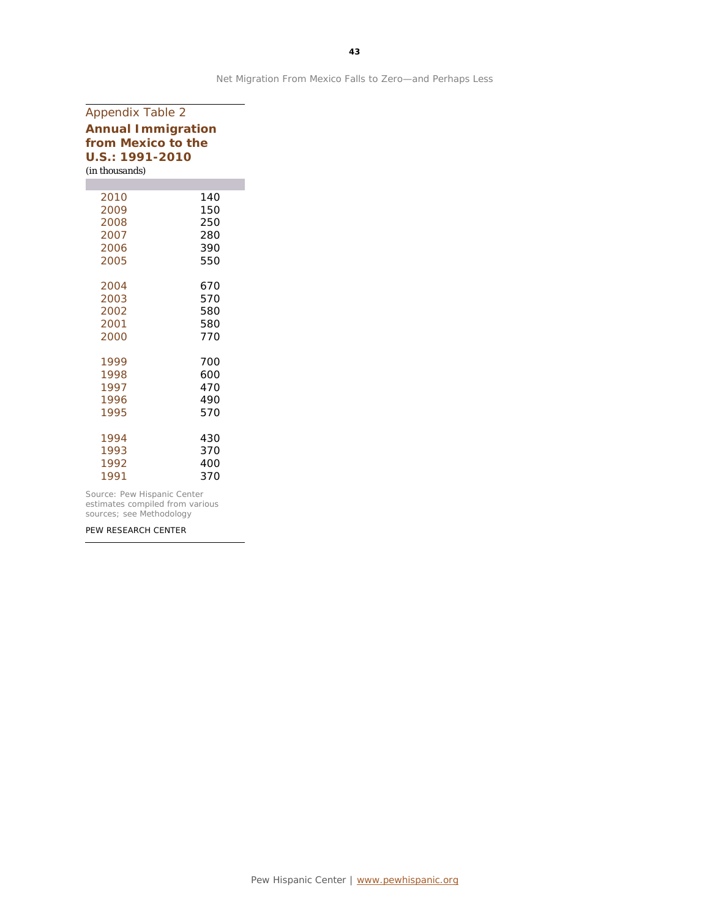| <b>Appendix Table 2</b>                         |            |  |  |  |                 |
|-------------------------------------------------|------------|--|--|--|-----------------|
| <b>Annual Immigration</b><br>from Mexico to the |            |  |  |  |                 |
|                                                 |            |  |  |  | U.S.: 1991-2010 |
| (in thousands)                                  |            |  |  |  |                 |
|                                                 |            |  |  |  |                 |
| 2010                                            | 140        |  |  |  |                 |
| 2009                                            | 150        |  |  |  |                 |
| 2008<br>2007                                    | 250<br>280 |  |  |  |                 |
| 2006                                            | 390        |  |  |  |                 |
| 2005                                            | 550        |  |  |  |                 |
|                                                 |            |  |  |  |                 |
| 2004                                            | 670        |  |  |  |                 |
| 2003                                            | 570        |  |  |  |                 |
| 2002                                            | 580        |  |  |  |                 |
| 2001                                            | 580        |  |  |  |                 |
| 2000                                            | 770        |  |  |  |                 |
| 1999                                            |            |  |  |  |                 |
| 1998                                            | 700<br>600 |  |  |  |                 |
| 1997                                            | 470        |  |  |  |                 |
| 1996                                            | 490        |  |  |  |                 |
| 1995                                            | 570        |  |  |  |                 |
|                                                 |            |  |  |  |                 |
| 1994                                            | 430        |  |  |  |                 |
| 1993                                            | 370        |  |  |  |                 |
| 1992                                            | 400        |  |  |  |                 |
| 1991                                            | 370        |  |  |  |                 |
|                                                 |            |  |  |  |                 |

Source: Pew Hispanic Center estimates compiled from various sources; see Methodology

PEW RESEARCH CENTER

Net Migration From Mexico Falls to Zero—and Perhaps Less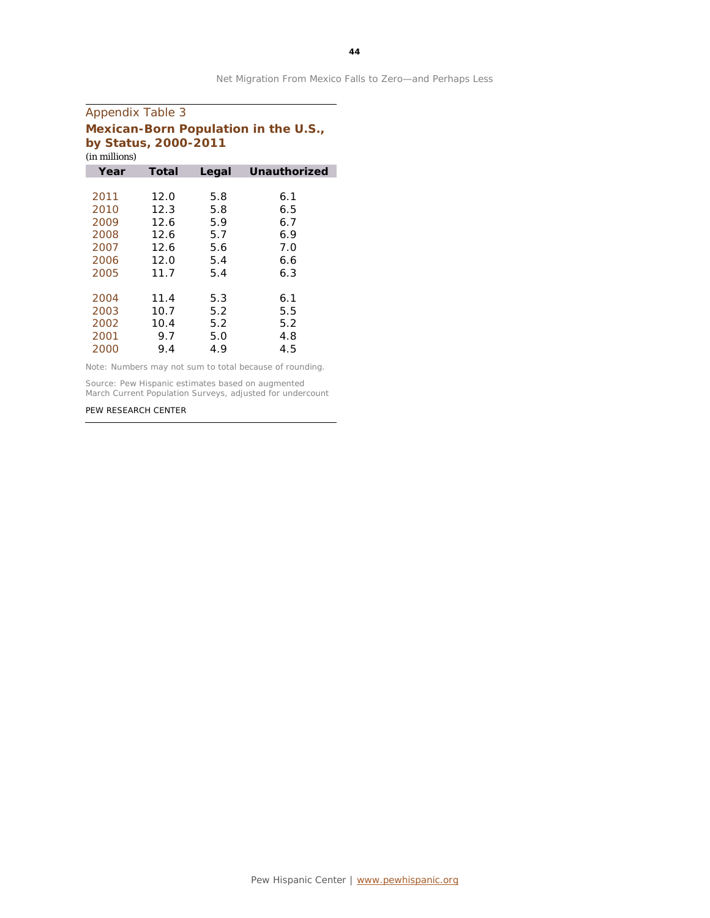| <b>Appendix Table 3</b>                                      |       |       |              |  |  |
|--------------------------------------------------------------|-------|-------|--------------|--|--|
| Mexican-Born Population in the U.S.,<br>by Status, 2000-2011 |       |       |              |  |  |
| (in millions)                                                |       |       |              |  |  |
| Year                                                         | Total | Legal | Unauthorized |  |  |
|                                                              |       |       |              |  |  |
| 2011                                                         | 12.0  | 5.8   | 6.1          |  |  |
| 2010                                                         | 12.3  | 5.8   | 6.5          |  |  |
| 2009                                                         | 12.6  | 5.9   | 6.7          |  |  |
| 2008                                                         | 12.6  | 5.7   | 6.9          |  |  |
| 2007                                                         | 12.6  | 5.6   | 7.0          |  |  |
| 2006                                                         | 12.0  | 5.4   | 6.6          |  |  |
| 2005                                                         | 11.7  | 5.4   | 6.3          |  |  |
|                                                              |       |       |              |  |  |
| 2004                                                         | 11.4  | 5.3   | 6.1          |  |  |
| 2003                                                         | 10.7  | 5.2   | 5.5          |  |  |
| 2002                                                         | 10.4  | 5.2   | 5.2          |  |  |
| 2001                                                         | 9.7   | 5.0   | 4.8          |  |  |
| 2000                                                         | 9.4   | 4.9   | 4.5          |  |  |

Note: Numbers may not sum to total because of rounding.

Source: Pew Hispanic estimates based on augmented March Current Population Surveys, adjusted for undercount

#### PEW RESEARCH CENTER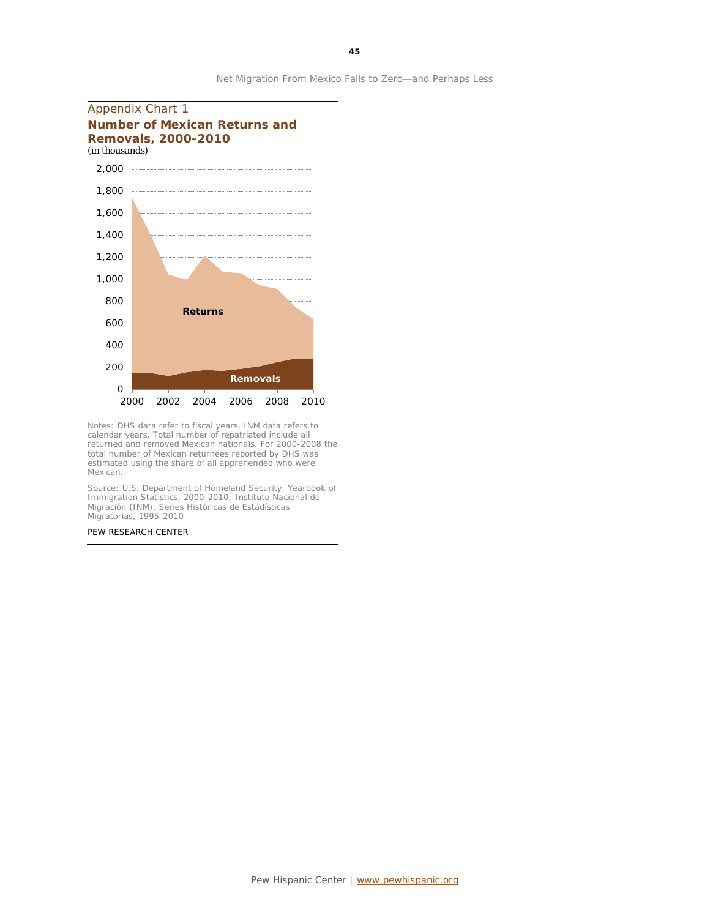

Notes: DHS data refer to fiscal years. INM data refers to calendar years. Total number of repatriated include all returned and removed Mexican nationals. For 2000-2008 the total number of Mexican returnees reported by DHS was estimated using the share of all apprehended who were Mexican.

Source: U.S. Department of Homeland Security, Yearbook of Immigration Statistics, 2000-2010; Instituto Nacional de Migración (INM), Series Históricas de Estadísticas Migratorias, 1995-2010

PEW RESEARCH CENTER

**45**

Net Migration From Mexico Falls to Zero—and Perhaps Less